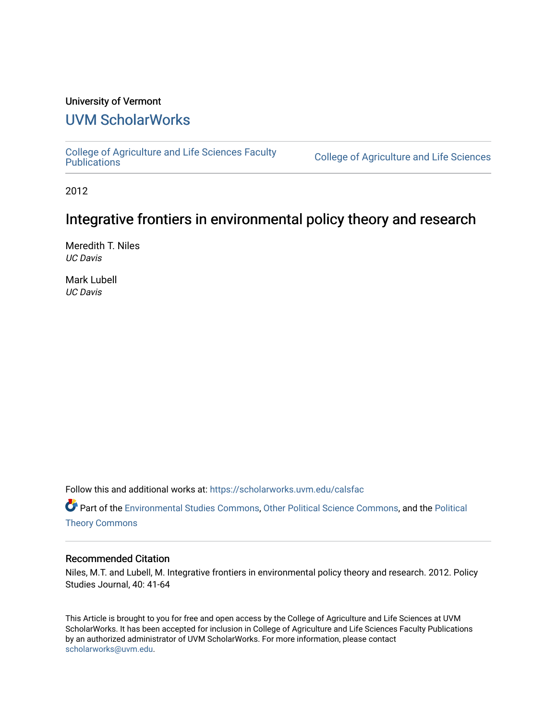# University of Vermont

# [UVM ScholarWorks](https://scholarworks.uvm.edu/)

[College of Agriculture and Life Sciences Faculty](https://scholarworks.uvm.edu/calsfac) 

College of Agriculture and Life Sciences

2012

# Integrative frontiers in environmental policy theory and research

Meredith T. Niles UC Davis

Mark Lubell UC Davis

Follow this and additional works at: [https://scholarworks.uvm.edu/calsfac](https://scholarworks.uvm.edu/calsfac?utm_source=scholarworks.uvm.edu%2Fcalsfac%2F5&utm_medium=PDF&utm_campaign=PDFCoverPages)

Part of the [Environmental Studies Commons](http://network.bepress.com/hgg/discipline/1333?utm_source=scholarworks.uvm.edu%2Fcalsfac%2F5&utm_medium=PDF&utm_campaign=PDFCoverPages), [Other Political Science Commons](http://network.bepress.com/hgg/discipline/392?utm_source=scholarworks.uvm.edu%2Fcalsfac%2F5&utm_medium=PDF&utm_campaign=PDFCoverPages), and the [Political](http://network.bepress.com/hgg/discipline/391?utm_source=scholarworks.uvm.edu%2Fcalsfac%2F5&utm_medium=PDF&utm_campaign=PDFCoverPages)  [Theory Commons](http://network.bepress.com/hgg/discipline/391?utm_source=scholarworks.uvm.edu%2Fcalsfac%2F5&utm_medium=PDF&utm_campaign=PDFCoverPages)

#### Recommended Citation

Niles, M.T. and Lubell, M. Integrative frontiers in environmental policy theory and research. 2012. Policy Studies Journal, 40: 41-64

This Article is brought to you for free and open access by the College of Agriculture and Life Sciences at UVM ScholarWorks. It has been accepted for inclusion in College of Agriculture and Life Sciences Faculty Publications by an authorized administrator of UVM ScholarWorks. For more information, please contact [scholarworks@uvm.edu](mailto:scholarworks@uvm.edu).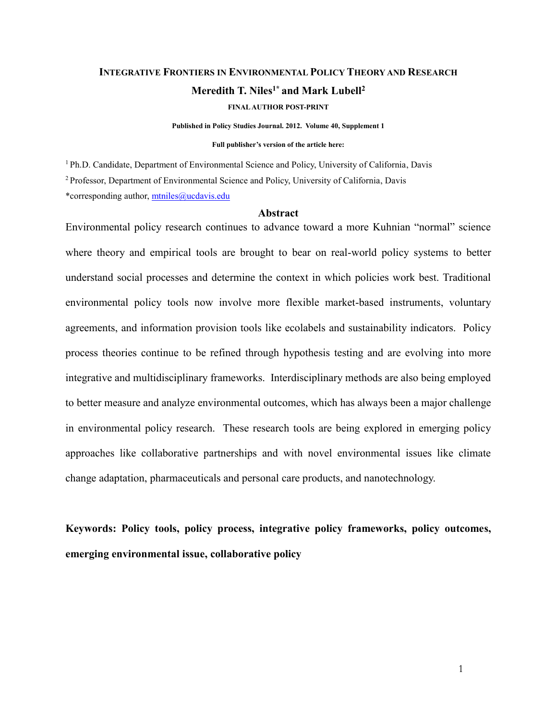# **INTEGRATIVE FRONTIERS IN ENVIRONMENTAL POLICY THEORY AND RESEARCH Meredith T. Niles1\* and Mark Lubell<sup>2</sup>**

**FINAL AUTHOR POST-PRINT**

**Published in Policy Studies Journal. 2012. Volume 40, Supplement 1**

## **Full publisher's version of the article here:**

<sup>1</sup>Ph.D. Candidate, Department of Environmental Science and Policy, University of California, Davis <sup>2</sup>Professor, Department of Environmental Science and Policy, University of California, Davis

\*corresponding author, [mtniles@ucdavis.edu](mailto:mtniles@ucdavis.edu)

#### **Abstract**

Environmental policy research continues to advance toward a more Kuhnian "normal" science where theory and empirical tools are brought to bear on real-world policy systems to better understand social processes and determine the context in which policies work best. Traditional environmental policy tools now involve more flexible market-based instruments, voluntary agreements, and information provision tools like ecolabels and sustainability indicators. Policy process theories continue to be refined through hypothesis testing and are evolving into more integrative and multidisciplinary frameworks. Interdisciplinary methods are also being employed to better measure and analyze environmental outcomes, which has always been a major challenge in environmental policy research. These research tools are being explored in emerging policy approaches like collaborative partnerships and with novel environmental issues like climate change adaptation, pharmaceuticals and personal care products, and nanotechnology.

**Keywords: Policy tools, policy process, integrative policy frameworks, policy outcomes, emerging environmental issue, collaborative policy**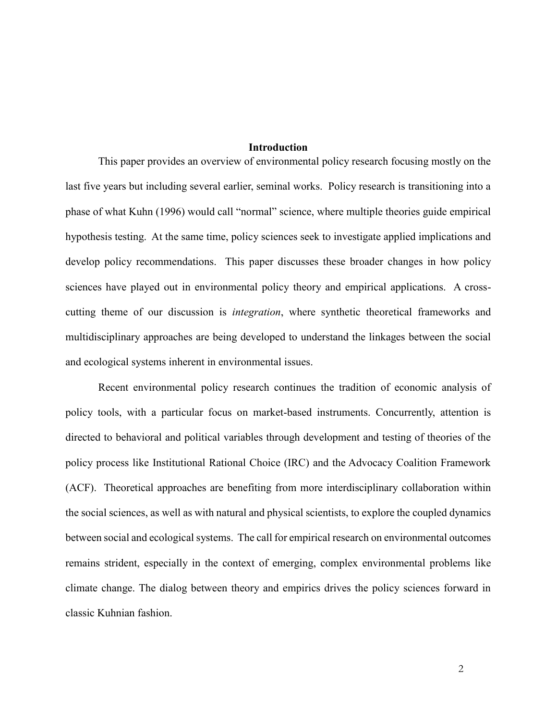## **Introduction**

This paper provides an overview of environmental policy research focusing mostly on the last five years but including several earlier, seminal works. Policy research is transitioning into a phase of what Kuhn (1996) would call "normal" science, where multiple theories guide empirical hypothesis testing. At the same time, policy sciences seek to investigate applied implications and develop policy recommendations. This paper discusses these broader changes in how policy sciences have played out in environmental policy theory and empirical applications. A crosscutting theme of our discussion is *integration*, where synthetic theoretical frameworks and multidisciplinary approaches are being developed to understand the linkages between the social and ecological systems inherent in environmental issues.

Recent environmental policy research continues the tradition of economic analysis of policy tools, with a particular focus on market-based instruments. Concurrently, attention is directed to behavioral and political variables through development and testing of theories of the policy process like Institutional Rational Choice (IRC) and the Advocacy Coalition Framework (ACF). Theoretical approaches are benefiting from more interdisciplinary collaboration within the social sciences, as well as with natural and physical scientists, to explore the coupled dynamics between social and ecological systems. The call for empirical research on environmental outcomes remains strident, especially in the context of emerging, complex environmental problems like climate change. The dialog between theory and empirics drives the policy sciences forward in classic Kuhnian fashion.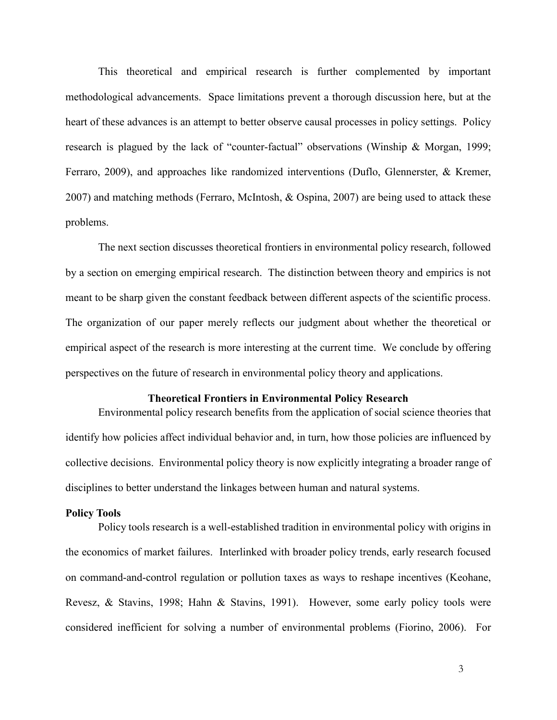This theoretical and empirical research is further complemented by important methodological advancements. Space limitations prevent a thorough discussion here, but at the heart of these advances is an attempt to better observe causal processes in policy settings. Policy research is plagued by the lack of "counter-factual" observations (Winship & Morgan, 1999; Ferraro, 2009), and approaches like randomized interventions (Duflo, Glennerster, & Kremer, 2007) and matching methods (Ferraro, McIntosh, & Ospina, 2007) are being used to attack these problems.

The next section discusses theoretical frontiers in environmental policy research, followed by a section on emerging empirical research. The distinction between theory and empirics is not meant to be sharp given the constant feedback between different aspects of the scientific process. The organization of our paper merely reflects our judgment about whether the theoretical or empirical aspect of the research is more interesting at the current time. We conclude by offering perspectives on the future of research in environmental policy theory and applications.

### **Theoretical Frontiers in Environmental Policy Research**

Environmental policy research benefits from the application of social science theories that identify how policies affect individual behavior and, in turn, how those policies are influenced by collective decisions. Environmental policy theory is now explicitly integrating a broader range of disciplines to better understand the linkages between human and natural systems.

#### **Policy Tools**

Policy tools research is a well-established tradition in environmental policy with origins in the economics of market failures. Interlinked with broader policy trends, early research focused on command-and-control regulation or pollution taxes as ways to reshape incentives (Keohane, Revesz, & Stavins, 1998; Hahn & Stavins, 1991). However, some early policy tools were considered inefficient for solving a number of environmental problems (Fiorino, 2006). For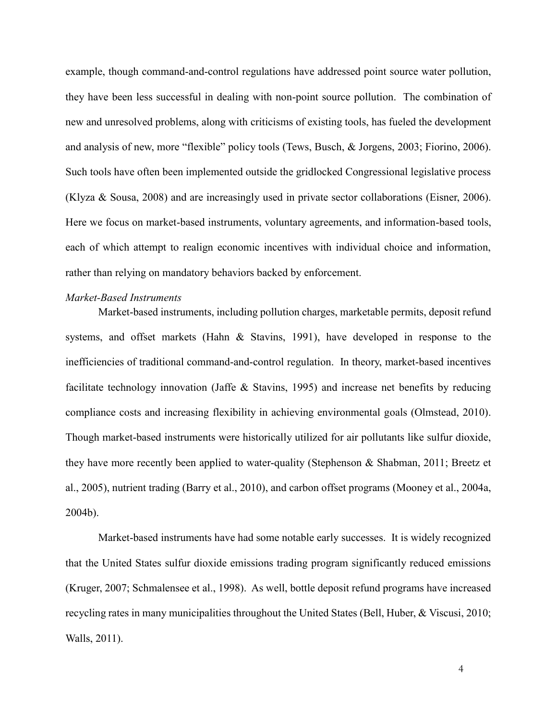example, though command-and-control regulations have addressed point source water pollution, they have been less successful in dealing with non-point source pollution. The combination of new and unresolved problems, along with criticisms of existing tools, has fueled the development and analysis of new, more "flexible" policy tools (Tews, Busch, & Jorgens, 2003; Fiorino, 2006). Such tools have often been implemented outside the gridlocked Congressional legislative process (Klyza & Sousa, 2008) and are increasingly used in private sector collaborations (Eisner, 2006). Here we focus on market-based instruments, voluntary agreements, and information-based tools, each of which attempt to realign economic incentives with individual choice and information, rather than relying on mandatory behaviors backed by enforcement.

#### *Market-Based Instruments*

Market-based instruments, including pollution charges, marketable permits, deposit refund systems, and offset markets (Hahn & Stavins, 1991), have developed in response to the inefficiencies of traditional command-and-control regulation. In theory, market-based incentives facilitate technology innovation (Jaffe & Stavins, 1995) and increase net benefits by reducing compliance costs and increasing flexibility in achieving environmental goals (Olmstead, 2010). Though market-based instruments were historically utilized for air pollutants like sulfur dioxide, they have more recently been applied to water-quality (Stephenson & Shabman, 2011; Breetz et al., 2005), nutrient trading (Barry et al., 2010), and carbon offset programs (Mooney et al., 2004a, 2004b).

Market-based instruments have had some notable early successes. It is widely recognized that the United States sulfur dioxide emissions trading program significantly reduced emissions (Kruger, 2007; Schmalensee et al., 1998). As well, bottle deposit refund programs have increased recycling rates in many municipalities throughout the United States (Bell, Huber, & Viscusi, 2010; Walls, 2011).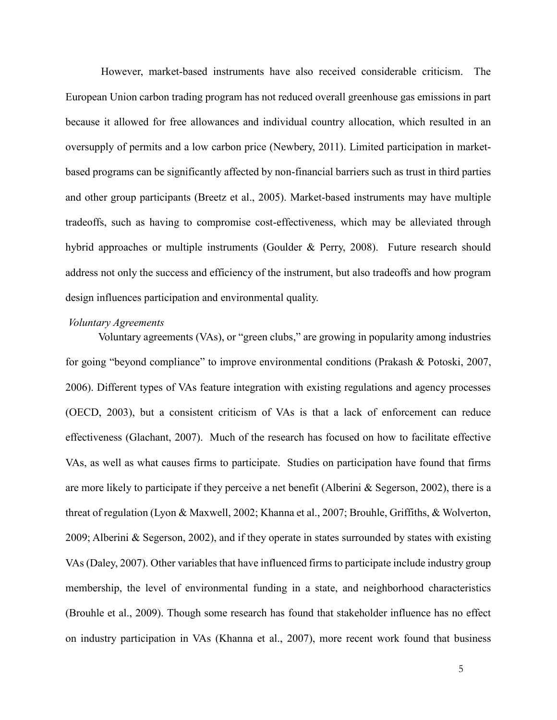However, market-based instruments have also received considerable criticism. The European Union carbon trading program has not reduced overall greenhouse gas emissions in part because it allowed for free allowances and individual country allocation, which resulted in an oversupply of permits and a low carbon price (Newbery, 2011). Limited participation in marketbased programs can be significantly affected by non-financial barriers such as trust in third parties and other group participants (Breetz et al., 2005). Market-based instruments may have multiple tradeoffs, such as having to compromise cost-effectiveness, which may be alleviated through hybrid approaches or multiple instruments (Goulder & Perry, 2008). Future research should address not only the success and efficiency of the instrument, but also tradeoffs and how program design influences participation and environmental quality.

### *Voluntary Agreements*

Voluntary agreements (VAs), or "green clubs," are growing in popularity among industries for going "beyond compliance" to improve environmental conditions (Prakash & Potoski, 2007, 2006). Different types of VAs feature integration with existing regulations and agency processes (OECD, 2003), but a consistent criticism of VAs is that a lack of enforcement can reduce effectiveness (Glachant, 2007). Much of the research has focused on how to facilitate effective VAs, as well as what causes firms to participate. Studies on participation have found that firms are more likely to participate if they perceive a net benefit (Alberini & Segerson, 2002), there is a threat of regulation (Lyon & Maxwell, 2002; Khanna et al., 2007; Brouhle, Griffiths, & Wolverton, 2009; Alberini & Segerson, 2002), and if they operate in states surrounded by states with existing VAs (Daley, 2007). Other variables that have influenced firms to participate include industry group membership, the level of environmental funding in a state, and neighborhood characteristics (Brouhle et al., 2009). Though some research has found that stakeholder influence has no effect on industry participation in VAs (Khanna et al., 2007), more recent work found that business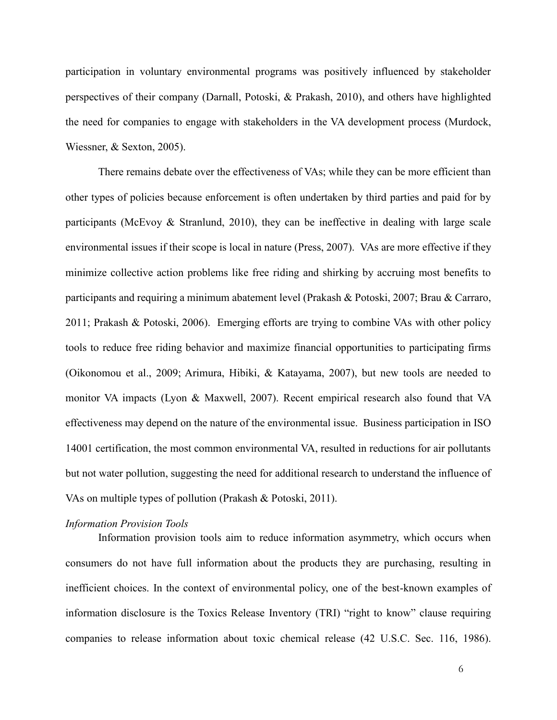participation in voluntary environmental programs was positively influenced by stakeholder perspectives of their company (Darnall, Potoski, & Prakash, 2010), and others have highlighted the need for companies to engage with stakeholders in the VA development process (Murdock, Wiessner, & Sexton, 2005).

There remains debate over the effectiveness of VAs; while they can be more efficient than other types of policies because enforcement is often undertaken by third parties and paid for by participants (McEvoy  $\&$  Stranlund, 2010), they can be ineffective in dealing with large scale environmental issues if their scope is local in nature (Press, 2007). VAs are more effective if they minimize collective action problems like free riding and shirking by accruing most benefits to participants and requiring a minimum abatement level (Prakash & Potoski, 2007; Brau & Carraro, 2011; Prakash & Potoski, 2006). Emerging efforts are trying to combine VAs with other policy tools to reduce free riding behavior and maximize financial opportunities to participating firms (Oikonomou et al., 2009; Arimura, Hibiki, & Katayama, 2007), but new tools are needed to monitor VA impacts (Lyon & Maxwell, 2007). Recent empirical research also found that VA effectiveness may depend on the nature of the environmental issue. Business participation in ISO 14001 certification, the most common environmental VA, resulted in reductions for air pollutants but not water pollution, suggesting the need for additional research to understand the influence of VAs on multiple types of pollution (Prakash & Potoski, 2011).

#### *Information Provision Tools*

Information provision tools aim to reduce information asymmetry, which occurs when consumers do not have full information about the products they are purchasing, resulting in inefficient choices. In the context of environmental policy, one of the best-known examples of information disclosure is the Toxics Release Inventory (TRI) "right to know" clause requiring companies to release information about toxic chemical release (42 U.S.C. Sec. 116, 1986).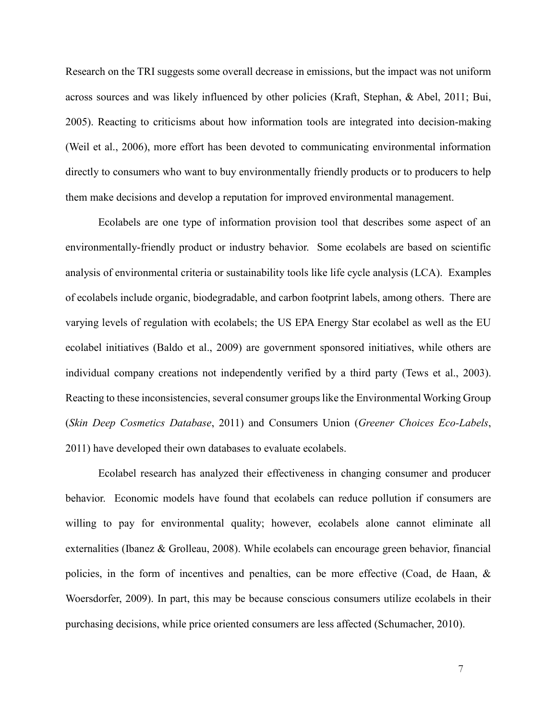Research on the TRI suggests some overall decrease in emissions, but the impact was not uniform across sources and was likely influenced by other policies (Kraft, Stephan, & Abel, 2011; Bui, 2005). Reacting to criticisms about how information tools are integrated into decision-making (Weil et al., 2006), more effort has been devoted to communicating environmental information directly to consumers who want to buy environmentally friendly products or to producers to help them make decisions and develop a reputation for improved environmental management.

Ecolabels are one type of information provision tool that describes some aspect of an environmentally-friendly product or industry behavior. Some ecolabels are based on scientific analysis of environmental criteria or sustainability tools like life cycle analysis (LCA). Examples of ecolabels include organic, biodegradable, and carbon footprint labels, among others. There are varying levels of regulation with ecolabels; the US EPA Energy Star ecolabel as well as the EU ecolabel initiatives (Baldo et al., 2009) are government sponsored initiatives, while others are individual company creations not independently verified by a third party (Tews et al., 2003). Reacting to these inconsistencies, several consumer groups like the Environmental Working Group (*Skin Deep Cosmetics Database*, 2011) and Consumers Union (*Greener Choices Eco-Labels*, 2011) have developed their own databases to evaluate ecolabels.

Ecolabel research has analyzed their effectiveness in changing consumer and producer behavior. Economic models have found that ecolabels can reduce pollution if consumers are willing to pay for environmental quality; however, ecolabels alone cannot eliminate all externalities (Ibanez & Grolleau, 2008). While ecolabels can encourage green behavior, financial policies, in the form of incentives and penalties, can be more effective (Coad, de Haan, & Woersdorfer, 2009). In part, this may be because conscious consumers utilize ecolabels in their purchasing decisions, while price oriented consumers are less affected (Schumacher, 2010).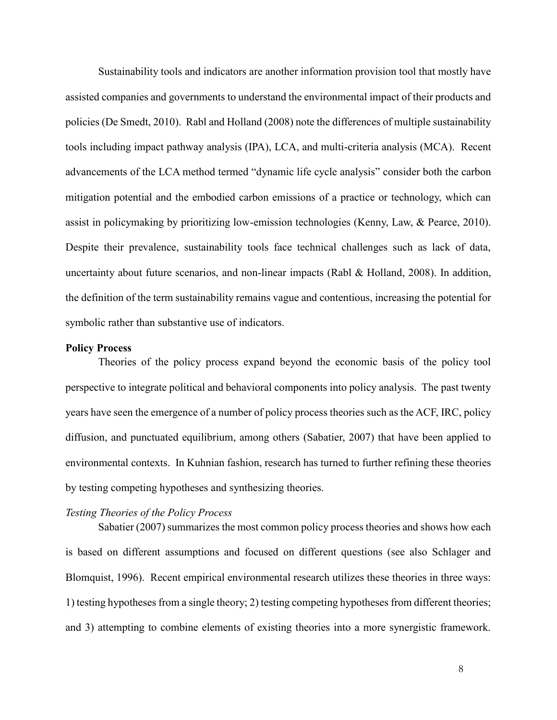Sustainability tools and indicators are another information provision tool that mostly have assisted companies and governments to understand the environmental impact of their products and policies (De Smedt, 2010). Rabl and Holland (2008) note the differences of multiple sustainability tools including impact pathway analysis (IPA), LCA, and multi-criteria analysis (MCA). Recent advancements of the LCA method termed "dynamic life cycle analysis" consider both the carbon mitigation potential and the embodied carbon emissions of a practice or technology, which can assist in policymaking by prioritizing low-emission technologies (Kenny, Law, & Pearce, 2010). Despite their prevalence, sustainability tools face technical challenges such as lack of data, uncertainty about future scenarios, and non-linear impacts (Rabl & Holland, 2008). In addition, the definition of the term sustainability remains vague and contentious, increasing the potential for symbolic rather than substantive use of indicators.

# **Policy Process**

Theories of the policy process expand beyond the economic basis of the policy tool perspective to integrate political and behavioral components into policy analysis. The past twenty years have seen the emergence of a number of policy process theories such as the ACF, IRC, policy diffusion, and punctuated equilibrium, among others (Sabatier, 2007) that have been applied to environmental contexts. In Kuhnian fashion, research has turned to further refining these theories by testing competing hypotheses and synthesizing theories.

## *Testing Theories of the Policy Process*

Sabatier (2007) summarizes the most common policy process theories and shows how each is based on different assumptions and focused on different questions (see also Schlager and Blomquist, 1996). Recent empirical environmental research utilizes these theories in three ways: 1) testing hypotheses from a single theory; 2) testing competing hypotheses from different theories; and 3) attempting to combine elements of existing theories into a more synergistic framework.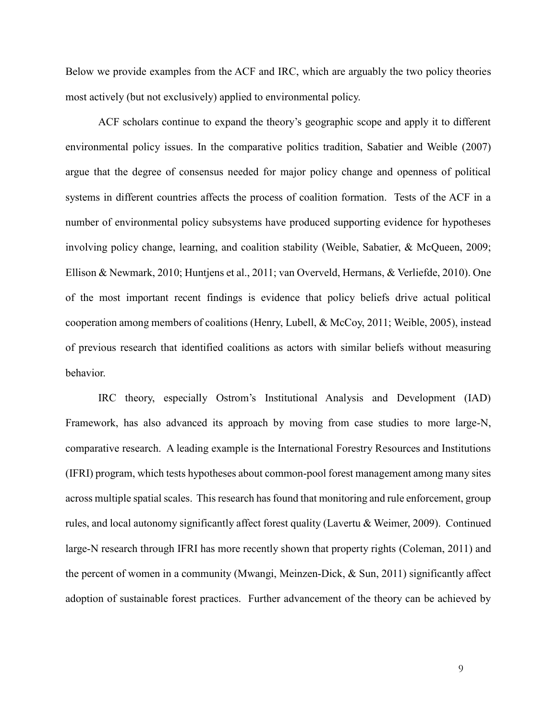Below we provide examples from the ACF and IRC, which are arguably the two policy theories most actively (but not exclusively) applied to environmental policy.

ACF scholars continue to expand the theory's geographic scope and apply it to different environmental policy issues. In the comparative politics tradition, Sabatier and Weible (2007) argue that the degree of consensus needed for major policy change and openness of political systems in different countries affects the process of coalition formation. Tests of the ACF in a number of environmental policy subsystems have produced supporting evidence for hypotheses involving policy change, learning, and coalition stability (Weible, Sabatier, & McQueen, 2009; Ellison & Newmark, 2010; Huntjens et al., 2011; van Overveld, Hermans, & Verliefde, 2010). One of the most important recent findings is evidence that policy beliefs drive actual political cooperation among members of coalitions (Henry, Lubell, & McCoy, 2011; Weible, 2005), instead of previous research that identified coalitions as actors with similar beliefs without measuring behavior.

IRC theory, especially Ostrom's Institutional Analysis and Development (IAD) Framework, has also advanced its approach by moving from case studies to more large-N, comparative research. A leading example is the International Forestry Resources and Institutions (IFRI) program, which tests hypotheses about common-pool forest management among many sites across multiple spatial scales. This research has found that monitoring and rule enforcement, group rules, and local autonomy significantly affect forest quality (Lavertu & Weimer, 2009). Continued large-N research through IFRI has more recently shown that property rights (Coleman, 2011) and the percent of women in a community (Mwangi, Meinzen-Dick,  $\&$  Sun, 2011) significantly affect adoption of sustainable forest practices. Further advancement of the theory can be achieved by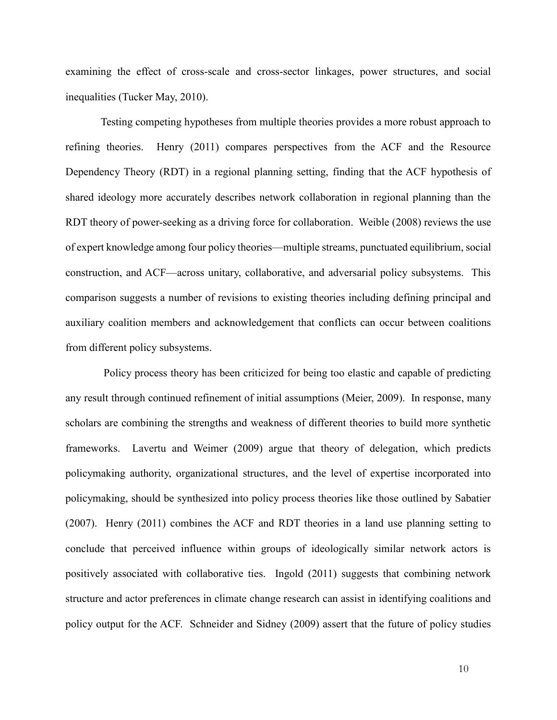examining the effect of cross-scale and cross-sector linkages, power structures, and social inequalities (Tucker May, 2010).

Testing competing hypotheses from multiple theories provides a more robust approach to refining theories. Henry (2011) compares perspectives from the ACF and the Resource Dependency Theory (RDT) in a regional planning setting, finding that the ACF hypothesis of shared ideology more accurately describes network collaboration in regional planning than the RDT theory of power-seeking as a driving force for collaboration. Weible (2008) reviews the use of expert knowledge among four policy theories—multiple streams, punctuated equilibrium, social construction, and ACF—across unitary, collaborative, and adversarial policy subsystems. This comparison suggests a number of revisions to existing theories including defining principal and auxiliary coalition members and acknowledgement that conflicts can occur between coalitions from different policy subsystems.

 Policy process theory has been criticized for being too elastic and capable of predicting any result through continued refinement of initial assumptions (Meier, 2009). In response, many scholars are combining the strengths and weakness of different theories to build more synthetic frameworks. Lavertu and Weimer (2009) argue that theory of delegation, which predicts policymaking authority, organizational structures, and the level of expertise incorporated into policymaking, should be synthesized into policy process theories like those outlined by Sabatier (2007). Henry (2011) combines the ACF and RDT theories in a land use planning setting to conclude that perceived influence within groups of ideologically similar network actors is positively associated with collaborative ties. Ingold (2011) suggests that combining network structure and actor preferences in climate change research can assist in identifying coalitions and policy output for the ACF. Schneider and Sidney (2009) assert that the future of policy studies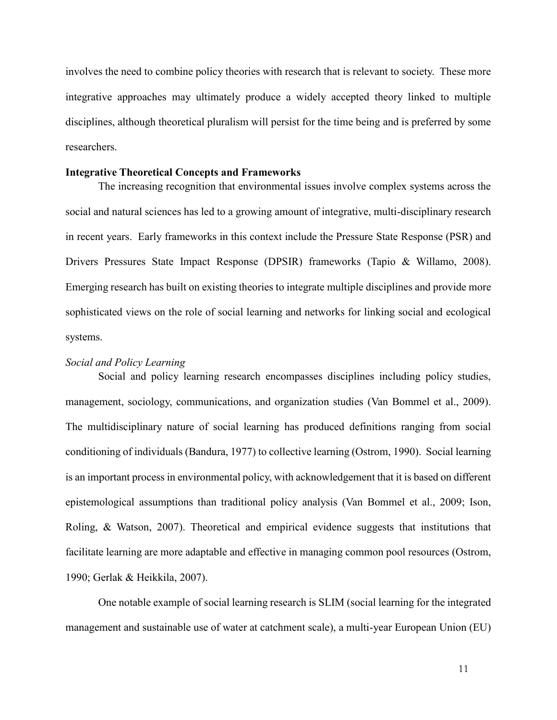involves the need to combine policy theories with research that is relevant to society. These more integrative approaches may ultimately produce a widely accepted theory linked to multiple disciplines, although theoretical pluralism will persist for the time being and is preferred by some researchers.

#### **Integrative Theoretical Concepts and Frameworks**

The increasing recognition that environmental issues involve complex systems across the social and natural sciences has led to a growing amount of integrative, multi-disciplinary research in recent years. Early frameworks in this context include the Pressure State Response (PSR) and Drivers Pressures State Impact Response (DPSIR) frameworks (Tapio & Willamo, 2008). Emerging research has built on existing theories to integrate multiple disciplines and provide more sophisticated views on the role of social learning and networks for linking social and ecological systems.

#### *Social and Policy Learning*

Social and policy learning research encompasses disciplines including policy studies, management, sociology, communications, and organization studies (Van Bommel et al., 2009). The multidisciplinary nature of social learning has produced definitions ranging from social conditioning of individuals (Bandura, 1977) to collective learning (Ostrom, 1990). Social learning is an important process in environmental policy, with acknowledgement that it is based on different epistemological assumptions than traditional policy analysis (Van Bommel et al., 2009; Ison, Roling, & Watson, 2007). Theoretical and empirical evidence suggests that institutions that facilitate learning are more adaptable and effective in managing common pool resources (Ostrom, 1990; Gerlak & Heikkila, 2007).

One notable example of social learning research is SLIM (social learning for the integrated management and sustainable use of water at catchment scale), a multi-year European Union (EU)

11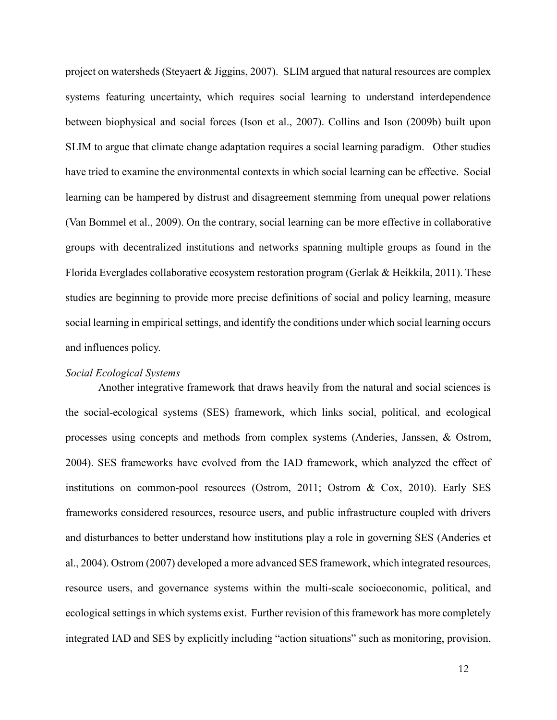project on watersheds (Steyaert & Jiggins, 2007). SLIM argued that natural resources are complex systems featuring uncertainty, which requires social learning to understand interdependence between biophysical and social forces (Ison et al., 2007). Collins and Ison (2009b) built upon SLIM to argue that climate change adaptation requires a social learning paradigm. Other studies have tried to examine the environmental contexts in which social learning can be effective. Social learning can be hampered by distrust and disagreement stemming from unequal power relations (Van Bommel et al., 2009). On the contrary, social learning can be more effective in collaborative groups with decentralized institutions and networks spanning multiple groups as found in the Florida Everglades collaborative ecosystem restoration program (Gerlak  $\&$  Heikkila, 2011). These studies are beginning to provide more precise definitions of social and policy learning, measure social learning in empirical settings, and identify the conditions under which social learning occurs and influences policy.

## *Social Ecological Systems*

Another integrative framework that draws heavily from the natural and social sciences is the social-ecological systems (SES) framework, which links social, political, and ecological processes using concepts and methods from complex systems (Anderies, Janssen, & Ostrom, 2004). SES frameworks have evolved from the IAD framework, which analyzed the effect of institutions on common-pool resources (Ostrom, 2011; Ostrom & Cox, 2010). Early SES frameworks considered resources, resource users, and public infrastructure coupled with drivers and disturbances to better understand how institutions play a role in governing SES (Anderies et al., 2004). Ostrom (2007) developed a more advanced SES framework, which integrated resources, resource users, and governance systems within the multi-scale socioeconomic, political, and ecological settings in which systems exist. Further revision of this framework has more completely integrated IAD and SES by explicitly including "action situations" such as monitoring, provision,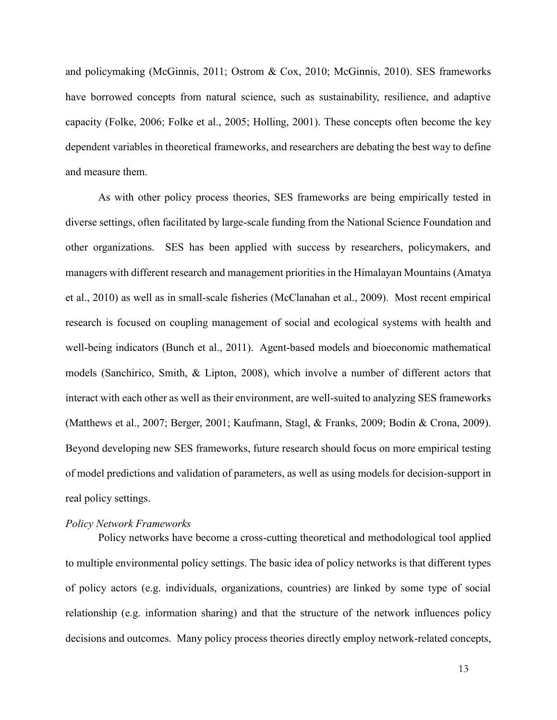and policymaking (McGinnis, 2011; Ostrom & Cox, 2010; McGinnis, 2010). SES frameworks have borrowed concepts from natural science, such as sustainability, resilience, and adaptive capacity (Folke, 2006; Folke et al., 2005; Holling, 2001). These concepts often become the key dependent variables in theoretical frameworks, and researchers are debating the best way to define and measure them.

As with other policy process theories, SES frameworks are being empirically tested in diverse settings, often facilitated by large-scale funding from the National Science Foundation and other organizations. SES has been applied with success by researchers, policymakers, and managers with different research and management priorities in the Himalayan Mountains (Amatya et al., 2010) as well as in small-scale fisheries (McClanahan et al., 2009). Most recent empirical research is focused on coupling management of social and ecological systems with health and well-being indicators (Bunch et al., 2011). Agent-based models and bioeconomic mathematical models (Sanchirico, Smith, & Lipton, 2008), which involve a number of different actors that interact with each other as well as their environment, are well-suited to analyzing SES frameworks (Matthews et al., 2007; Berger, 2001; Kaufmann, Stagl, & Franks, 2009; Bodin & Crona, 2009). Beyond developing new SES frameworks, future research should focus on more empirical testing of model predictions and validation of parameters, as well as using models for decision-support in real policy settings.

#### *Policy Network Frameworks*

Policy networks have become a cross-cutting theoretical and methodological tool applied to multiple environmental policy settings. The basic idea of policy networks is that different types of policy actors (e.g. individuals, organizations, countries) are linked by some type of social relationship (e.g. information sharing) and that the structure of the network influences policy decisions and outcomes. Many policy process theories directly employ network-related concepts,

13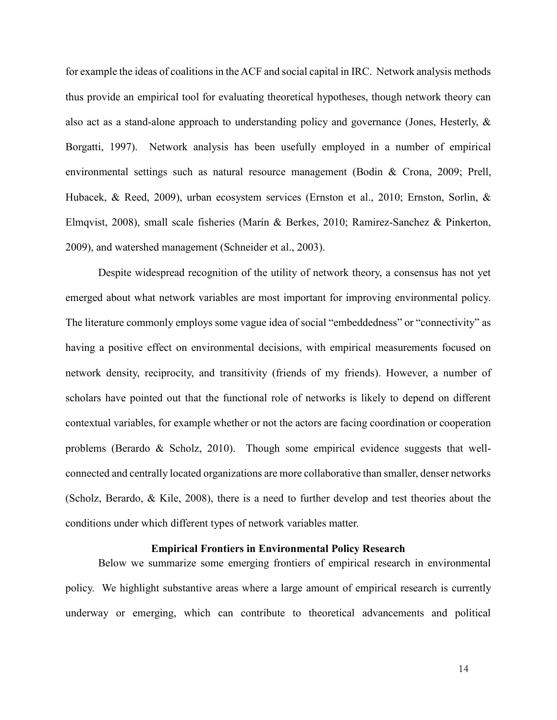for example the ideas of coalitions in the ACF and social capital in IRC. Network analysis methods thus provide an empirical tool for evaluating theoretical hypotheses, though network theory can also act as a stand-alone approach to understanding policy and governance (Jones, Hesterly, & Borgatti, 1997). Network analysis has been usefully employed in a number of empirical environmental settings such as natural resource management (Bodin & Crona, 2009; Prell, Hubacek, & Reed, 2009), urban ecosystem services (Ernston et al., 2010; Ernston, Sorlin, & Elmqvist, 2008), small scale fisheries (Marín & Berkes, 2010; Ramirez-Sanchez & Pinkerton, 2009), and watershed management (Schneider et al., 2003).

Despite widespread recognition of the utility of network theory, a consensus has not yet emerged about what network variables are most important for improving environmental policy. The literature commonly employs some vague idea of social "embeddedness" or "connectivity" as having a positive effect on environmental decisions, with empirical measurements focused on network density, reciprocity, and transitivity (friends of my friends). However, a number of scholars have pointed out that the functional role of networks is likely to depend on different contextual variables, for example whether or not the actors are facing coordination or cooperation problems (Berardo & Scholz, 2010). Though some empirical evidence suggests that wellconnected and centrally located organizations are more collaborative than smaller, denser networks (Scholz, Berardo, & Kile, 2008), there is a need to further develop and test theories about the conditions under which different types of network variables matter.

## **Empirical Frontiers in Environmental Policy Research**

Below we summarize some emerging frontiers of empirical research in environmental policy. We highlight substantive areas where a large amount of empirical research is currently underway or emerging, which can contribute to theoretical advancements and political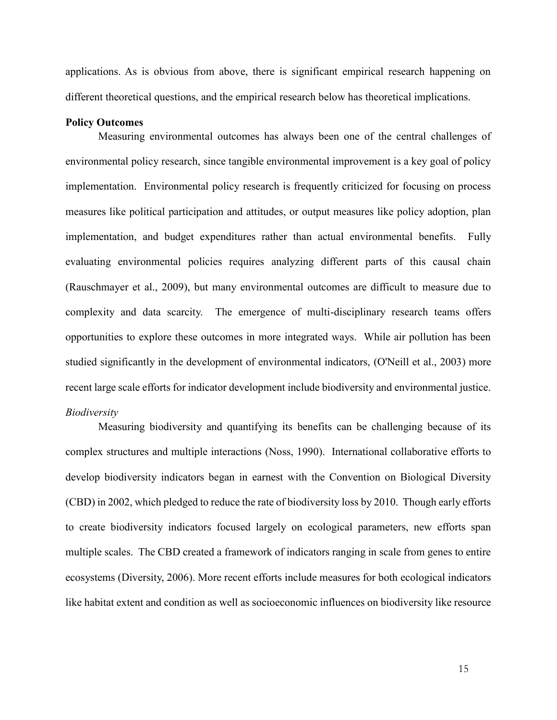applications. As is obvious from above, there is significant empirical research happening on different theoretical questions, and the empirical research below has theoretical implications.

#### **Policy Outcomes**

Measuring environmental outcomes has always been one of the central challenges of environmental policy research, since tangible environmental improvement is a key goal of policy implementation. Environmental policy research is frequently criticized for focusing on process measures like political participation and attitudes, or output measures like policy adoption, plan implementation, and budget expenditures rather than actual environmental benefits. Fully evaluating environmental policies requires analyzing different parts of this causal chain (Rauschmayer et al., 2009), but many environmental outcomes are difficult to measure due to complexity and data scarcity. The emergence of multi-disciplinary research teams offers opportunities to explore these outcomes in more integrated ways. While air pollution has been studied significantly in the development of environmental indicators, (O'Neill et al., 2003) more recent large scale efforts for indicator development include biodiversity and environmental justice. *Biodiversity*

Measuring biodiversity and quantifying its benefits can be challenging because of its complex structures and multiple interactions (Noss, 1990). International collaborative efforts to develop biodiversity indicators began in earnest with the Convention on Biological Diversity (CBD) in 2002, which pledged to reduce the rate of biodiversity loss by 2010. Though early efforts to create biodiversity indicators focused largely on ecological parameters, new efforts span multiple scales. The CBD created a framework of indicators ranging in scale from genes to entire ecosystems (Diversity, 2006). More recent efforts include measures for both ecological indicators like habitat extent and condition as well as socioeconomic influences on biodiversity like resource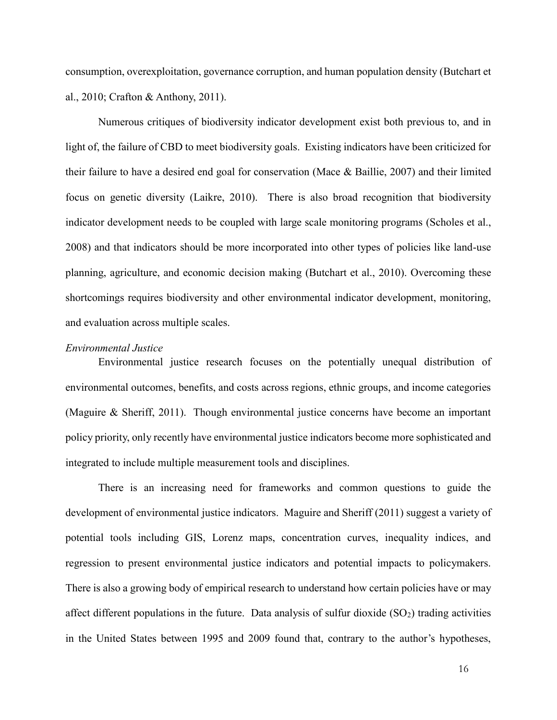consumption, overexploitation, governance corruption, and human population density (Butchart et al., 2010; Crafton & Anthony, 2011).

Numerous critiques of biodiversity indicator development exist both previous to, and in light of, the failure of CBD to meet biodiversity goals. Existing indicators have been criticized for their failure to have a desired end goal for conservation (Mace & Baillie, 2007) and their limited focus on genetic diversity (Laikre, 2010). There is also broad recognition that biodiversity indicator development needs to be coupled with large scale monitoring programs (Scholes et al., 2008) and that indicators should be more incorporated into other types of policies like land-use planning, agriculture, and economic decision making (Butchart et al., 2010). Overcoming these shortcomings requires biodiversity and other environmental indicator development, monitoring, and evaluation across multiple scales.

#### *Environmental Justice*

Environmental justice research focuses on the potentially unequal distribution of environmental outcomes, benefits, and costs across regions, ethnic groups, and income categories (Maguire & Sheriff, 2011). Though environmental justice concerns have become an important policy priority, only recently have environmental justice indicators become more sophisticated and integrated to include multiple measurement tools and disciplines.

There is an increasing need for frameworks and common questions to guide the development of environmental justice indicators. Maguire and Sheriff (2011) suggest a variety of potential tools including GIS, Lorenz maps, concentration curves, inequality indices, and regression to present environmental justice indicators and potential impacts to policymakers. There is also a growing body of empirical research to understand how certain policies have or may affect different populations in the future. Data analysis of sulfur dioxide  $(SO<sub>2</sub>)$  trading activities in the United States between 1995 and 2009 found that, contrary to the author's hypotheses,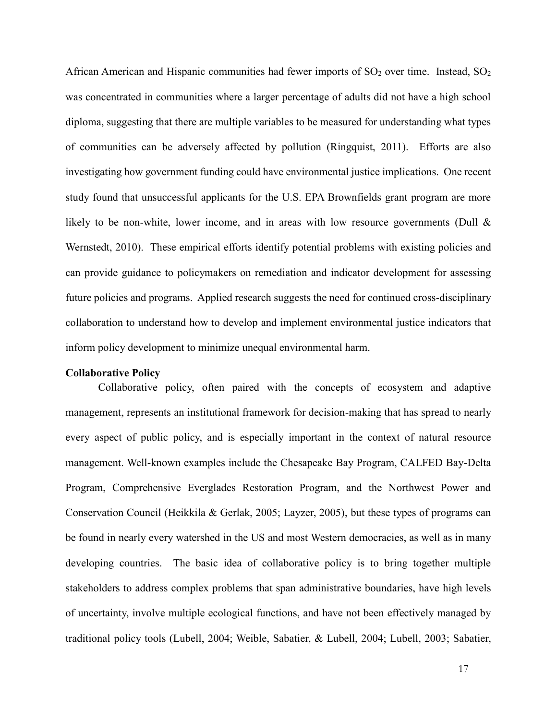African American and Hispanic communities had fewer imports of  $SO<sub>2</sub>$  over time. Instead,  $SO<sub>2</sub>$ was concentrated in communities where a larger percentage of adults did not have a high school diploma, suggesting that there are multiple variables to be measured for understanding what types of communities can be adversely affected by pollution (Ringquist, 2011). Efforts are also investigating how government funding could have environmental justice implications. One recent study found that unsuccessful applicants for the U.S. EPA Brownfields grant program are more likely to be non-white, lower income, and in areas with low resource governments (Dull & Wernstedt, 2010). These empirical efforts identify potential problems with existing policies and can provide guidance to policymakers on remediation and indicator development for assessing future policies and programs. Applied research suggests the need for continued cross-disciplinary collaboration to understand how to develop and implement environmental justice indicators that inform policy development to minimize unequal environmental harm.

#### **Collaborative Policy**

Collaborative policy, often paired with the concepts of ecosystem and adaptive management, represents an institutional framework for decision-making that has spread to nearly every aspect of public policy, and is especially important in the context of natural resource management. Well-known examples include the Chesapeake Bay Program, CALFED Bay-Delta Program, Comprehensive Everglades Restoration Program, and the Northwest Power and Conservation Council (Heikkila & Gerlak, 2005; Layzer, 2005), but these types of programs can be found in nearly every watershed in the US and most Western democracies, as well as in many developing countries. The basic idea of collaborative policy is to bring together multiple stakeholders to address complex problems that span administrative boundaries, have high levels of uncertainty, involve multiple ecological functions, and have not been effectively managed by traditional policy tools (Lubell, 2004; Weible, Sabatier, & Lubell, 2004; Lubell, 2003; Sabatier,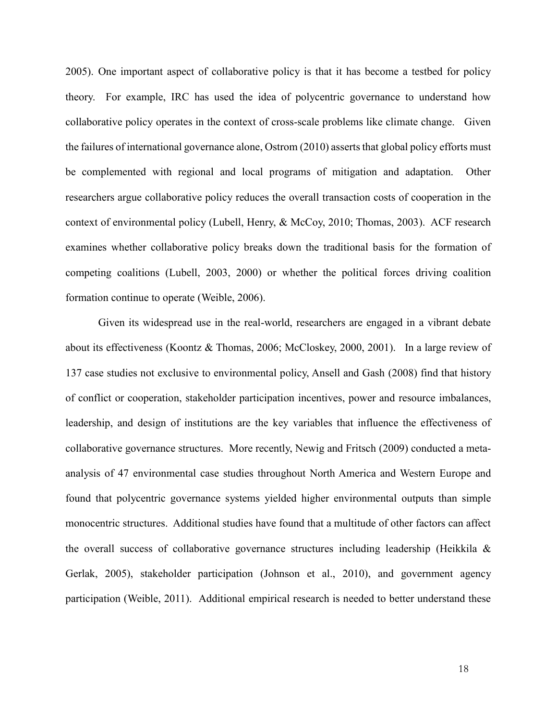2005). One important aspect of collaborative policy is that it has become a testbed for policy theory. For example, IRC has used the idea of polycentric governance to understand how collaborative policy operates in the context of cross-scale problems like climate change. Given the failures of international governance alone, Ostrom (2010) asserts that global policy efforts must be complemented with regional and local programs of mitigation and adaptation. Other researchers argue collaborative policy reduces the overall transaction costs of cooperation in the context of environmental policy (Lubell, Henry, & McCoy, 2010; Thomas, 2003). ACF research examines whether collaborative policy breaks down the traditional basis for the formation of competing coalitions (Lubell, 2003, 2000) or whether the political forces driving coalition formation continue to operate (Weible, 2006).

Given its widespread use in the real-world, researchers are engaged in a vibrant debate about its effectiveness (Koontz & Thomas, 2006; McCloskey, 2000, 2001). In a large review of 137 case studies not exclusive to environmental policy, Ansell and Gash (2008) find that history of conflict or cooperation, stakeholder participation incentives, power and resource imbalances, leadership, and design of institutions are the key variables that influence the effectiveness of collaborative governance structures. More recently, Newig and Fritsch (2009) conducted a metaanalysis of 47 environmental case studies throughout North America and Western Europe and found that polycentric governance systems yielded higher environmental outputs than simple monocentric structures. Additional studies have found that a multitude of other factors can affect the overall success of collaborative governance structures including leadership (Heikkila  $\&$ Gerlak, 2005), stakeholder participation (Johnson et al., 2010), and government agency participation (Weible, 2011). Additional empirical research is needed to better understand these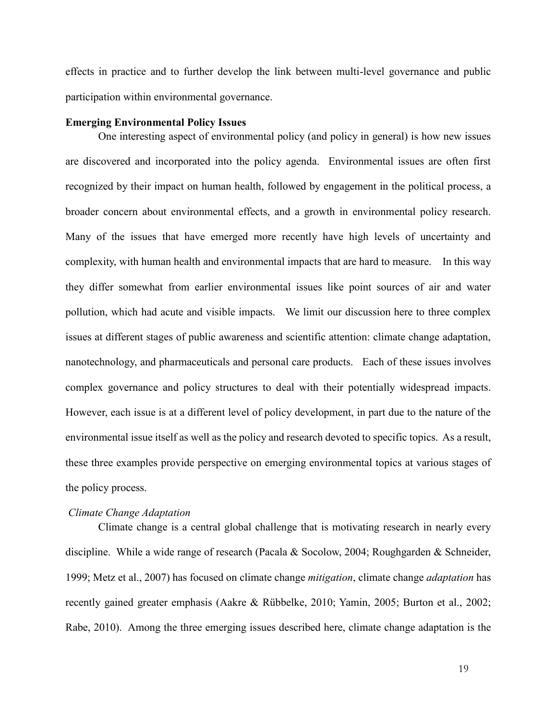effects in practice and to further develop the link between multi-level governance and public participation within environmental governance.

#### **Emerging Environmental Policy Issues**

One interesting aspect of environmental policy (and policy in general) is how new issues are discovered and incorporated into the policy agenda. Environmental issues are often first recognized by their impact on human health, followed by engagement in the political process, a broader concern about environmental effects, and a growth in environmental policy research. Many of the issues that have emerged more recently have high levels of uncertainty and complexity, with human health and environmental impacts that are hard to measure. In this way they differ somewhat from earlier environmental issues like point sources of air and water pollution, which had acute and visible impacts. We limit our discussion here to three complex issues at different stages of public awareness and scientific attention: climate change adaptation, nanotechnology, and pharmaceuticals and personal care products. Each of these issues involves complex governance and policy structures to deal with their potentially widespread impacts. However, each issue is at a different level of policy development, in part due to the nature of the environmental issue itself as well as the policy and research devoted to specific topics. As a result, these three examples provide perspective on emerging environmental topics at various stages of the policy process.

#### *Climate Change Adaptation*

Climate change is a central global challenge that is motivating research in nearly every discipline. While a wide range of research (Pacala & Socolow, 2004; Roughgarden & Schneider, 1999; Metz et al., 2007) has focused on climate change *mitigation*, climate change *adaptation* has recently gained greater emphasis (Aakre & Rübbelke, 2010; Yamin, 2005; Burton et al., 2002; Rabe, 2010). Among the three emerging issues described here, climate change adaptation is the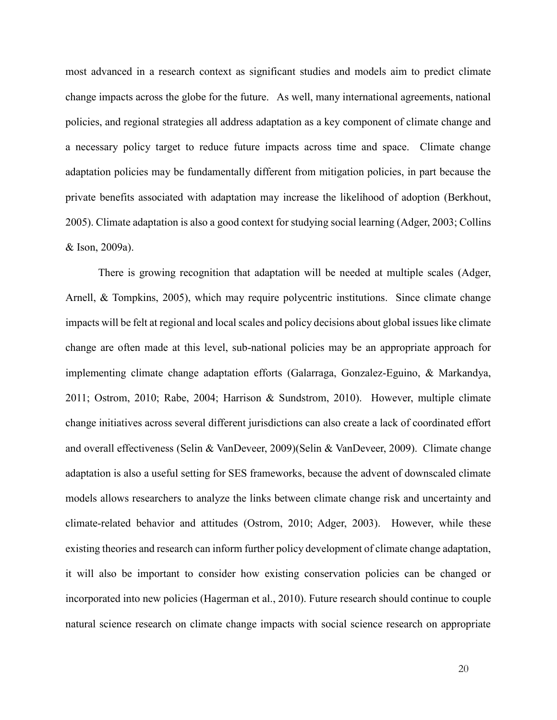most advanced in a research context as significant studies and models aim to predict climate change impacts across the globe for the future. As well, many international agreements, national policies, and regional strategies all address adaptation as a key component of climate change and a necessary policy target to reduce future impacts across time and space. Climate change adaptation policies may be fundamentally different from mitigation policies, in part because the private benefits associated with adaptation may increase the likelihood of adoption (Berkhout, 2005). Climate adaptation is also a good context for studying social learning (Adger, 2003; Collins & Ison, 2009a).

There is growing recognition that adaptation will be needed at multiple scales (Adger, Arnell, & Tompkins, 2005), which may require polycentric institutions. Since climate change impacts will be felt at regional and local scales and policy decisions about global issues like climate change are often made at this level, sub-national policies may be an appropriate approach for implementing climate change adaptation efforts (Galarraga, Gonzalez-Eguino, & Markandya, 2011; Ostrom, 2010; Rabe, 2004; Harrison & Sundstrom, 2010). However, multiple climate change initiatives across several different jurisdictions can also create a lack of coordinated effort and overall effectiveness (Selin & VanDeveer, 2009)(Selin & VanDeveer, 2009). Climate change adaptation is also a useful setting for SES frameworks, because the advent of downscaled climate models allows researchers to analyze the links between climate change risk and uncertainty and climate-related behavior and attitudes (Ostrom, 2010; Adger, 2003). However, while these existing theories and research can inform further policy development of climate change adaptation, it will also be important to consider how existing conservation policies can be changed or incorporated into new policies (Hagerman et al., 2010). Future research should continue to couple natural science research on climate change impacts with social science research on appropriate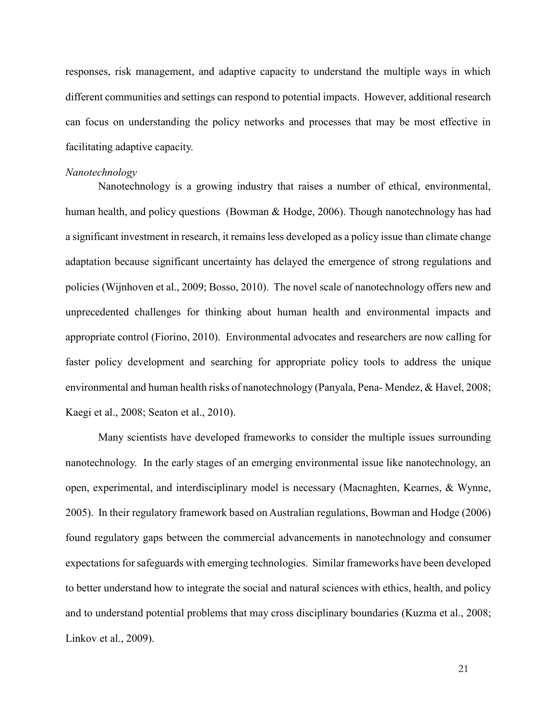responses, risk management, and adaptive capacity to understand the multiple ways in which different communities and settings can respond to potential impacts. However, additional research can focus on understanding the policy networks and processes that may be most effective in facilitating adaptive capacity.

#### *Nanotechnology*

Nanotechnology is a growing industry that raises a number of ethical, environmental, human health, and policy questions (Bowman & Hodge, 2006). Though nanotechnology has had a significant investment in research, it remains less developed as a policy issue than climate change adaptation because significant uncertainty has delayed the emergence of strong regulations and policies (Wijnhoven et al., 2009; Bosso, 2010). The novel scale of nanotechnology offers new and unprecedented challenges for thinking about human health and environmental impacts and appropriate control (Fiorino, 2010). Environmental advocates and researchers are now calling for faster policy development and searching for appropriate policy tools to address the unique environmental and human health risks of nanotechnology (Panyala, Pena- Mendez, & Havel, 2008; Kaegi et al., 2008; Seaton et al., 2010).

Many scientists have developed frameworks to consider the multiple issues surrounding nanotechnology. In the early stages of an emerging environmental issue like nanotechnology, an open, experimental, and interdisciplinary model is necessary (Macnaghten, Kearnes, & Wynne, 2005). In their regulatory framework based on Australian regulations, Bowman and Hodge (2006) found regulatory gaps between the commercial advancements in nanotechnology and consumer expectations for safeguards with emerging technologies. Similar frameworks have been developed to better understand how to integrate the social and natural sciences with ethics, health, and policy and to understand potential problems that may cross disciplinary boundaries (Kuzma et al., 2008; Linkov et al., 2009).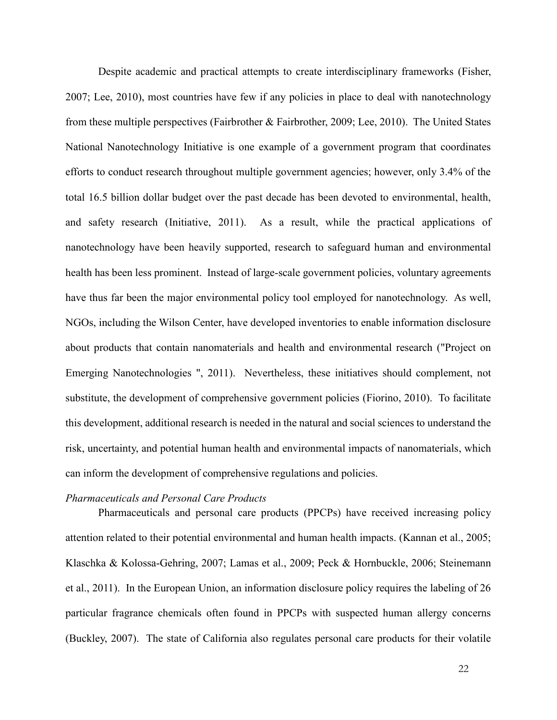Despite academic and practical attempts to create interdisciplinary frameworks (Fisher, 2007; Lee, 2010), most countries have few if any policies in place to deal with nanotechnology from these multiple perspectives (Fairbrother & Fairbrother, 2009; Lee, 2010). The United States National Nanotechnology Initiative is one example of a government program that coordinates efforts to conduct research throughout multiple government agencies; however, only 3.4% of the total 16.5 billion dollar budget over the past decade has been devoted to environmental, health, and safety research (Initiative, 2011). As a result, while the practical applications of nanotechnology have been heavily supported, research to safeguard human and environmental health has been less prominent. Instead of large-scale government policies, voluntary agreements have thus far been the major environmental policy tool employed for nanotechnology. As well, NGOs, including the Wilson Center, have developed inventories to enable information disclosure about products that contain nanomaterials and health and environmental research ("Project on Emerging Nanotechnologies ", 2011). Nevertheless, these initiatives should complement, not substitute, the development of comprehensive government policies (Fiorino, 2010). To facilitate this development, additional research is needed in the natural and social sciences to understand the risk, uncertainty, and potential human health and environmental impacts of nanomaterials, which can inform the development of comprehensive regulations and policies.

#### *Pharmaceuticals and Personal Care Products*

Pharmaceuticals and personal care products (PPCPs) have received increasing policy attention related to their potential environmental and human health impacts. (Kannan et al., 2005; Klaschka & Kolossa-Gehring, 2007; Lamas et al., 2009; Peck & Hornbuckle, 2006; Steinemann et al., 2011). In the European Union, an information disclosure policy requires the labeling of 26 particular fragrance chemicals often found in PPCPs with suspected human allergy concerns (Buckley, 2007). The state of California also regulates personal care products for their volatile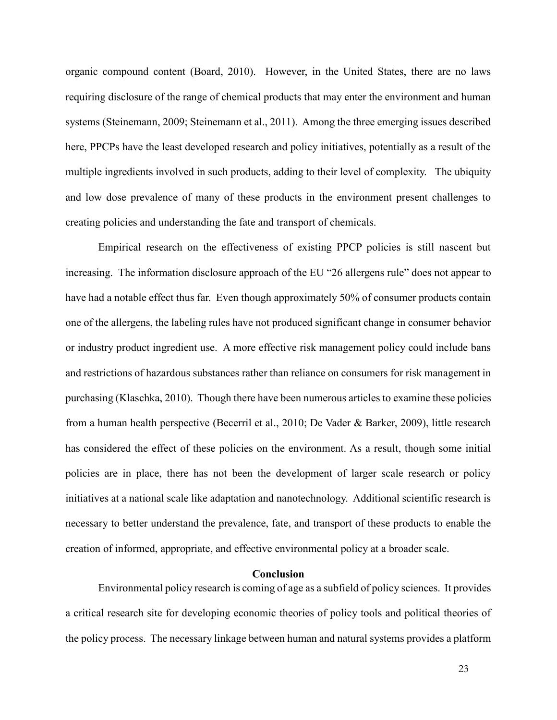organic compound content (Board, 2010). However, in the United States, there are no laws requiring disclosure of the range of chemical products that may enter the environment and human systems (Steinemann, 2009; Steinemann et al., 2011). Among the three emerging issues described here, PPCPs have the least developed research and policy initiatives, potentially as a result of the multiple ingredients involved in such products, adding to their level of complexity. The ubiquity and low dose prevalence of many of these products in the environment present challenges to creating policies and understanding the fate and transport of chemicals.

Empirical research on the effectiveness of existing PPCP policies is still nascent but increasing. The information disclosure approach of the EU "26 allergens rule" does not appear to have had a notable effect thus far. Even though approximately 50% of consumer products contain one of the allergens, the labeling rules have not produced significant change in consumer behavior or industry product ingredient use. A more effective risk management policy could include bans and restrictions of hazardous substances rather than reliance on consumers for risk management in purchasing (Klaschka, 2010). Though there have been numerous articles to examine these policies from a human health perspective (Becerril et al., 2010; De Vader & Barker, 2009), little research has considered the effect of these policies on the environment. As a result, though some initial policies are in place, there has not been the development of larger scale research or policy initiatives at a national scale like adaptation and nanotechnology. Additional scientific research is necessary to better understand the prevalence, fate, and transport of these products to enable the creation of informed, appropriate, and effective environmental policy at a broader scale.

#### **Conclusion**

Environmental policy research is coming of age as a subfield of policy sciences. It provides a critical research site for developing economic theories of policy tools and political theories of the policy process. The necessary linkage between human and natural systems provides a platform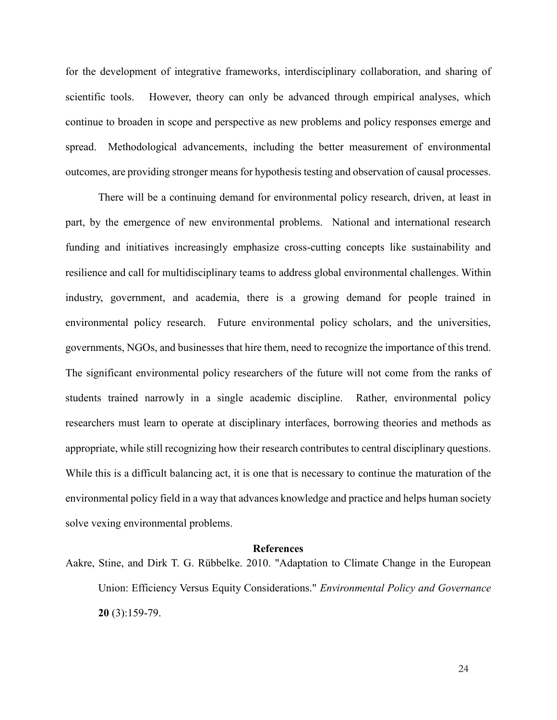for the development of integrative frameworks, interdisciplinary collaboration, and sharing of scientific tools. However, theory can only be advanced through empirical analyses, which continue to broaden in scope and perspective as new problems and policy responses emerge and spread. Methodological advancements, including the better measurement of environmental outcomes, are providing stronger means for hypothesis testing and observation of causal processes.

There will be a continuing demand for environmental policy research, driven, at least in part, by the emergence of new environmental problems. National and international research funding and initiatives increasingly emphasize cross-cutting concepts like sustainability and resilience and call for multidisciplinary teams to address global environmental challenges. Within industry, government, and academia, there is a growing demand for people trained in environmental policy research. Future environmental policy scholars, and the universities, governments, NGOs, and businesses that hire them, need to recognize the importance of this trend. The significant environmental policy researchers of the future will not come from the ranks of students trained narrowly in a single academic discipline. Rather, environmental policy researchers must learn to operate at disciplinary interfaces, borrowing theories and methods as appropriate, while still recognizing how their research contributes to central disciplinary questions. While this is a difficult balancing act, it is one that is necessary to continue the maturation of the environmental policy field in a way that advances knowledge and practice and helps human society solve vexing environmental problems.

#### **References**

Aakre, Stine, and Dirk T. G. Rübbelke. 2010. "Adaptation to Climate Change in the European Union: Efficiency Versus Equity Considerations." *Environmental Policy and Governance* **20** (3):159-79.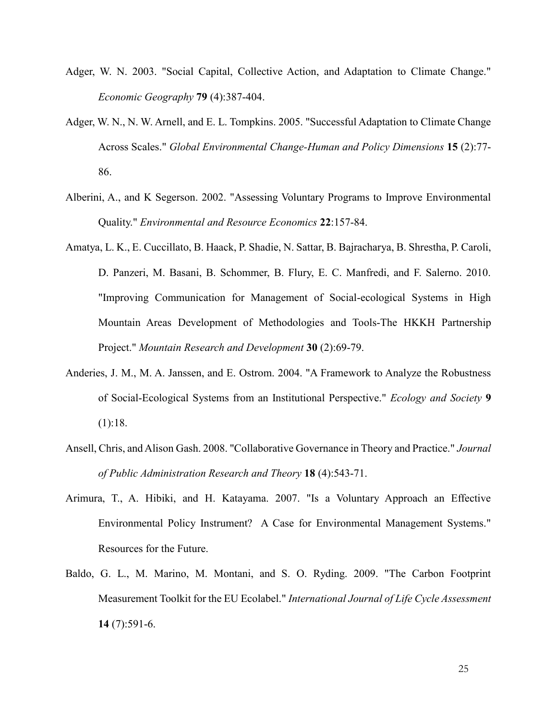- Adger, W. N. 2003. "Social Capital, Collective Action, and Adaptation to Climate Change." *Economic Geography* **79** (4):387-404.
- Adger, W. N., N. W. Arnell, and E. L. Tompkins. 2005. "Successful Adaptation to Climate Change Across Scales." *Global Environmental Change-Human and Policy Dimensions* **15** (2):77- 86.
- Alberini, A., and K Segerson. 2002. "Assessing Voluntary Programs to Improve Environmental Quality." *Environmental and Resource Economics* **22**:157-84.
- Amatya, L. K., E. Cuccillato, B. Haack, P. Shadie, N. Sattar, B. Bajracharya, B. Shrestha, P. Caroli, D. Panzeri, M. Basani, B. Schommer, B. Flury, E. C. Manfredi, and F. Salerno. 2010. "Improving Communication for Management of Social-ecological Systems in High Mountain Areas Development of Methodologies and Tools-The HKKH Partnership Project." *Mountain Research and Development* **30** (2):69-79.
- Anderies, J. M., M. A. Janssen, and E. Ostrom. 2004. "A Framework to Analyze the Robustness of Social-Ecological Systems from an Institutional Perspective." *Ecology and Society* **9** (1):18.
- Ansell, Chris, and Alison Gash. 2008. "Collaborative Governance in Theory and Practice." *Journal of Public Administration Research and Theory* **18** (4):543-71.
- Arimura, T., A. Hibiki, and H. Katayama. 2007. "Is a Voluntary Approach an Effective Environmental Policy Instrument? A Case for Environmental Management Systems." Resources for the Future.
- Baldo, G. L., M. Marino, M. Montani, and S. O. Ryding. 2009. "The Carbon Footprint Measurement Toolkit for the EU Ecolabel." *International Journal of Life Cycle Assessment* **14** (7):591-6.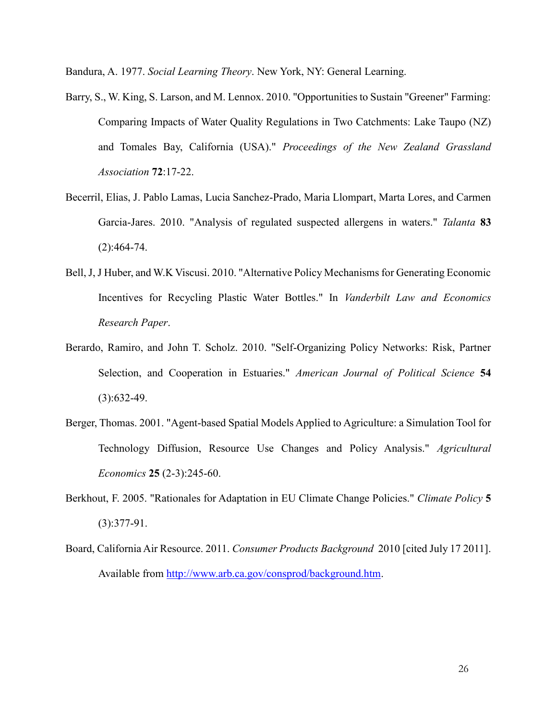Bandura, A. 1977. *Social Learning Theory*. New York, NY: General Learning.

- Barry, S., W. King, S. Larson, and M. Lennox. 2010. "Opportunities to Sustain "Greener" Farming: Comparing Impacts of Water Quality Regulations in Two Catchments: Lake Taupo (NZ) and Tomales Bay, California (USA)." *Proceedings of the New Zealand Grassland Association* **72**:17-22.
- Becerril, Elias, J. Pablo Lamas, Lucia Sanchez-Prado, Maria Llompart, Marta Lores, and Carmen Garcia-Jares. 2010. "Analysis of regulated suspected allergens in waters." *Talanta* **83**  $(2):464-74.$
- Bell, J, J Huber, and W.K Viscusi. 2010. "Alternative Policy Mechanisms for Generating Economic Incentives for Recycling Plastic Water Bottles." In *Vanderbilt Law and Economics Research Paper*.
- Berardo, Ramiro, and John T. Scholz. 2010. "Self-Organizing Policy Networks: Risk, Partner Selection, and Cooperation in Estuaries." *American Journal of Political Science* **54**  $(3):632-49.$
- Berger, Thomas. 2001. "Agent-based Spatial Models Applied to Agriculture: a Simulation Tool for Technology Diffusion, Resource Use Changes and Policy Analysis." *Agricultural Economics* **25** (2-3):245-60.
- Berkhout, F. 2005. "Rationales for Adaptation in EU Climate Change Policies." *Climate Policy* **5** (3):377-91.
- Board, California Air Resource. 2011. *Consumer Products Background* 2010 [cited July 17 2011]. Available from [http://www.arb.ca.gov/consprod/background.htm.](http://www.arb.ca.gov/consprod/background.htm)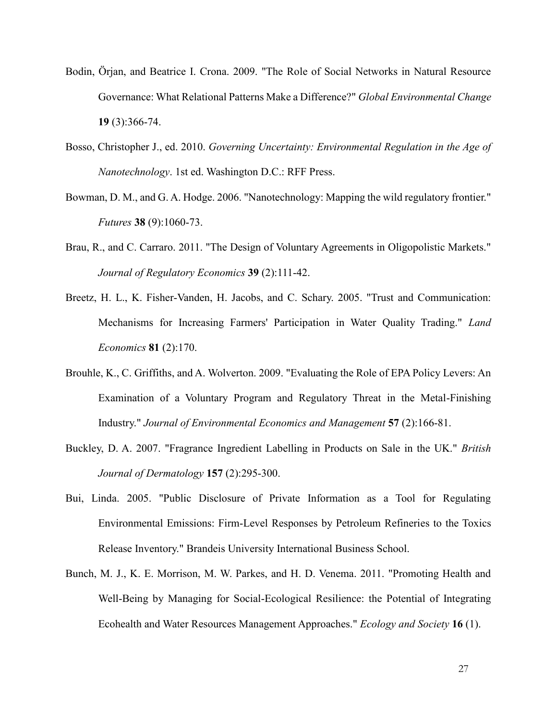- Bodin, Örjan, and Beatrice I. Crona. 2009. "The Role of Social Networks in Natural Resource Governance: What Relational Patterns Make a Difference?" *Global Environmental Change* **19** (3):366-74.
- Bosso, Christopher J., ed. 2010. *Governing Uncertainty: Environmental Regulation in the Age of Nanotechnology*. 1st ed. Washington D.C.: RFF Press.
- Bowman, D. M., and G. A. Hodge. 2006. "Nanotechnology: Mapping the wild regulatory frontier." *Futures* **38** (9):1060-73.
- Brau, R., and C. Carraro. 2011. "The Design of Voluntary Agreements in Oligopolistic Markets." *Journal of Regulatory Economics* **39** (2):111-42.
- Breetz, H. L., K. Fisher-Vanden, H. Jacobs, and C. Schary. 2005. "Trust and Communication: Mechanisms for Increasing Farmers' Participation in Water Quality Trading." *Land Economics* **81** (2):170.
- Brouhle, K., C. Griffiths, and A. Wolverton. 2009. "Evaluating the Role of EPA Policy Levers: An Examination of a Voluntary Program and Regulatory Threat in the Metal-Finishing Industry." *Journal of Environmental Economics and Management* **57** (2):166-81.
- Buckley, D. A. 2007. "Fragrance Ingredient Labelling in Products on Sale in the UK." *British Journal of Dermatology* **157** (2):295-300.
- Bui, Linda. 2005. "Public Disclosure of Private Information as a Tool for Regulating Environmental Emissions: Firm-Level Responses by Petroleum Refineries to the Toxics Release Inventory." Brandeis University International Business School.
- Bunch, M. J., K. E. Morrison, M. W. Parkes, and H. D. Venema. 2011. "Promoting Health and Well-Being by Managing for Social-Ecological Resilience: the Potential of Integrating Ecohealth and Water Resources Management Approaches." *Ecology and Society* **16** (1).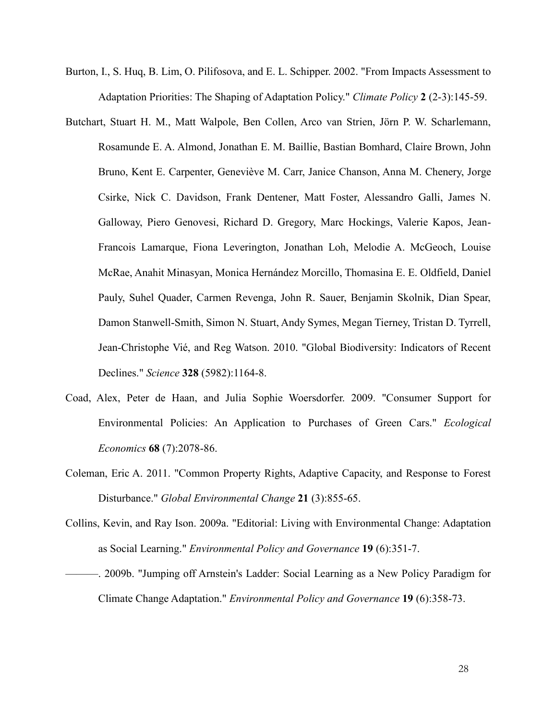- Burton, I., S. Huq, B. Lim, O. Pilifosova, and E. L. Schipper. 2002. "From Impacts Assessment to Adaptation Priorities: The Shaping of Adaptation Policy." *Climate Policy* **2** (2-3):145-59.
- Butchart, Stuart H. M., Matt Walpole, Ben Collen, Arco van Strien, Jörn P. W. Scharlemann, Rosamunde E. A. Almond, Jonathan E. M. Baillie, Bastian Bomhard, Claire Brown, John Bruno, Kent E. Carpenter, Geneviève M. Carr, Janice Chanson, Anna M. Chenery, Jorge Csirke, Nick C. Davidson, Frank Dentener, Matt Foster, Alessandro Galli, James N. Galloway, Piero Genovesi, Richard D. Gregory, Marc Hockings, Valerie Kapos, Jean-Francois Lamarque, Fiona Leverington, Jonathan Loh, Melodie A. McGeoch, Louise McRae, Anahit Minasyan, Monica Hernández Morcillo, Thomasina E. E. Oldfield, Daniel Pauly, Suhel Quader, Carmen Revenga, John R. Sauer, Benjamin Skolnik, Dian Spear, Damon Stanwell-Smith, Simon N. Stuart, Andy Symes, Megan Tierney, Tristan D. Tyrrell, Jean-Christophe Vié, and Reg Watson. 2010. "Global Biodiversity: Indicators of Recent Declines." *Science* **328** (5982):1164-8.
- Coad, Alex, Peter de Haan, and Julia Sophie Woersdorfer. 2009. "Consumer Support for Environmental Policies: An Application to Purchases of Green Cars." *Ecological Economics* **68** (7):2078-86.
- Coleman, Eric A. 2011. "Common Property Rights, Adaptive Capacity, and Response to Forest Disturbance." *Global Environmental Change* **21** (3):855-65.
- Collins, Kevin, and Ray Ison. 2009a. "Editorial: Living with Environmental Change: Adaptation as Social Learning." *Environmental Policy and Governance* **19** (6):351-7.
- ———. 2009b. "Jumping off Arnstein's Ladder: Social Learning as a New Policy Paradigm for Climate Change Adaptation." *Environmental Policy and Governance* **19** (6):358-73.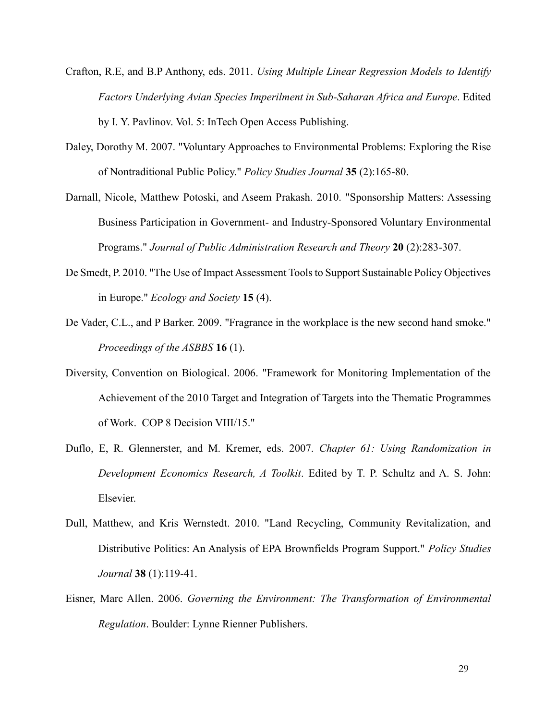- Crafton, R.E, and B.P Anthony, eds. 2011. *Using Multiple Linear Regression Models to Identify Factors Underlying Avian Species Imperilment in Sub-Saharan Africa and Europe*. Edited by I. Y. Pavlinov. Vol. 5: InTech Open Access Publishing.
- Daley, Dorothy M. 2007. "Voluntary Approaches to Environmental Problems: Exploring the Rise of Nontraditional Public Policy." *Policy Studies Journal* **35** (2):165-80.
- Darnall, Nicole, Matthew Potoski, and Aseem Prakash. 2010. "Sponsorship Matters: Assessing Business Participation in Government- and Industry-Sponsored Voluntary Environmental Programs." *Journal of Public Administration Research and Theory* **20** (2):283-307.
- De Smedt, P. 2010. "The Use of Impact Assessment Tools to Support Sustainable Policy Objectives in Europe." *Ecology and Society* **15** (4).
- De Vader, C.L., and P Barker. 2009. "Fragrance in the workplace is the new second hand smoke." *Proceedings of the ASBBS* **16** (1).
- Diversity, Convention on Biological. 2006. "Framework for Monitoring Implementation of the Achievement of the 2010 Target and Integration of Targets into the Thematic Programmes of Work. COP 8 Decision VIII/15."
- Duflo, E, R. Glennerster, and M. Kremer, eds. 2007. *Chapter 61: Using Randomization in Development Economics Research, A Toolkit*. Edited by T. P. Schultz and A. S. John: Elsevier.
- Dull, Matthew, and Kris Wernstedt. 2010. "Land Recycling, Community Revitalization, and Distributive Politics: An Analysis of EPA Brownfields Program Support." *Policy Studies Journal* **38** (1):119-41.
- Eisner, Marc Allen. 2006. *Governing the Environment: The Transformation of Environmental Regulation*. Boulder: Lynne Rienner Publishers.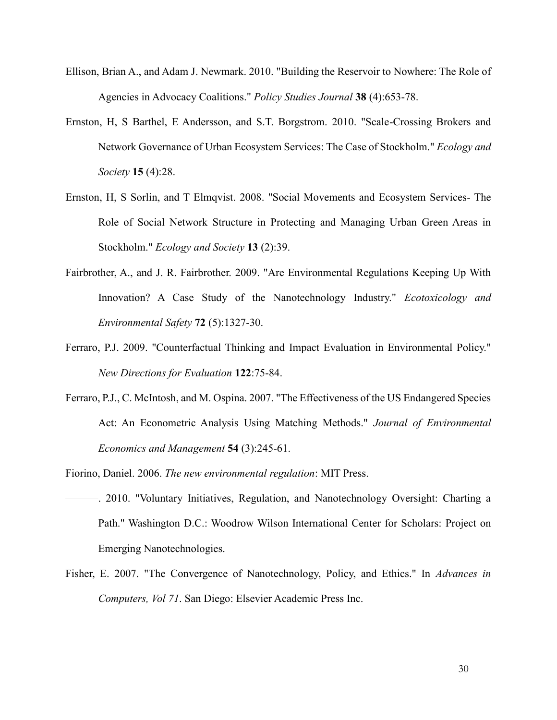- Ellison, Brian A., and Adam J. Newmark. 2010. "Building the Reservoir to Nowhere: The Role of Agencies in Advocacy Coalitions." *Policy Studies Journal* **38** (4):653-78.
- Ernston, H, S Barthel, E Andersson, and S.T. Borgstrom. 2010. "Scale-Crossing Brokers and Network Governance of Urban Ecosystem Services: The Case of Stockholm." *Ecology and Society* **15** (4):28.
- Ernston, H, S Sorlin, and T Elmqvist. 2008. "Social Movements and Ecosystem Services- The Role of Social Network Structure in Protecting and Managing Urban Green Areas in Stockholm." *Ecology and Society* **13** (2):39.
- Fairbrother, A., and J. R. Fairbrother. 2009. "Are Environmental Regulations Keeping Up With Innovation? A Case Study of the Nanotechnology Industry." *Ecotoxicology and Environmental Safety* **72** (5):1327-30.
- Ferraro, P.J. 2009. "Counterfactual Thinking and Impact Evaluation in Environmental Policy." *New Directions for Evaluation* **122**:75-84.
- Ferraro, P.J., C. McIntosh, and M. Ospina. 2007. "The Effectiveness of the US Endangered Species Act: An Econometric Analysis Using Matching Methods." *Journal of Environmental Economics and Management* **54** (3):245-61.
- Fiorino, Daniel. 2006. *The new environmental regulation*: MIT Press.
- ———. 2010. "Voluntary Initiatives, Regulation, and Nanotechnology Oversight: Charting a Path." Washington D.C.: Woodrow Wilson International Center for Scholars: Project on Emerging Nanotechnologies.
- Fisher, E. 2007. "The Convergence of Nanotechnology, Policy, and Ethics." In *Advances in Computers, Vol 71*. San Diego: Elsevier Academic Press Inc.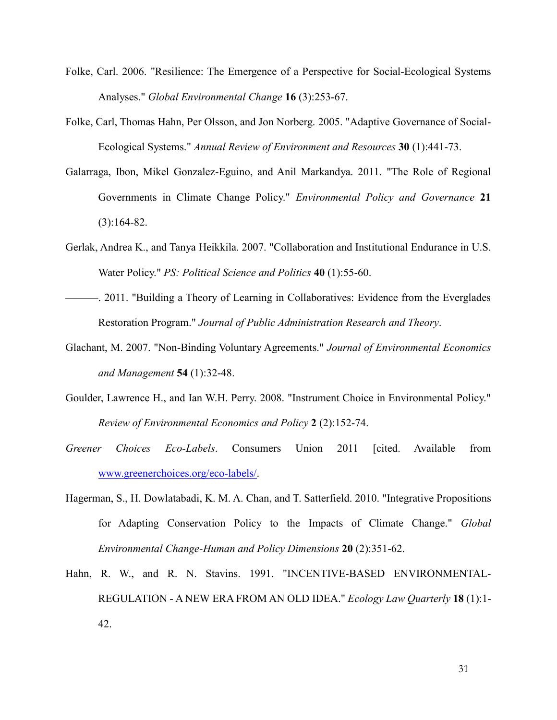- Folke, Carl. 2006. "Resilience: The Emergence of a Perspective for Social-Ecological Systems Analyses." *Global Environmental Change* **16** (3):253-67.
- Folke, Carl, Thomas Hahn, Per Olsson, and Jon Norberg. 2005. "Adaptive Governance of Social-Ecological Systems." *Annual Review of Environment and Resources* **30** (1):441-73.
- Galarraga, Ibon, Mikel Gonzalez-Eguino, and Anil Markandya. 2011. "The Role of Regional Governments in Climate Change Policy." *Environmental Policy and Governance* **21** (3):164-82.
- Gerlak, Andrea K., and Tanya Heikkila. 2007. "Collaboration and Institutional Endurance in U.S. Water Policy." *PS: Political Science and Politics* **40** (1):55-60.
- ———. 2011. "Building a Theory of Learning in Collaboratives: Evidence from the Everglades Restoration Program." *Journal of Public Administration Research and Theory*.
- Glachant, M. 2007. "Non-Binding Voluntary Agreements." *Journal of Environmental Economics and Management* **54** (1):32-48.
- Goulder, Lawrence H., and Ian W.H. Perry. 2008. "Instrument Choice in Environmental Policy." *Review of Environmental Economics and Policy* **2** (2):152-74.
- *Greener Choices Eco-Labels*. Consumers Union 2011 [cited. Available from [www.greenerchoices.org/eco-labels/.](http://www.greenerchoices.org/eco-labels/)
- Hagerman, S., H. Dowlatabadi, K. M. A. Chan, and T. Satterfield. 2010. "Integrative Propositions for Adapting Conservation Policy to the Impacts of Climate Change." *Global Environmental Change-Human and Policy Dimensions* **20** (2):351-62.
- Hahn, R. W., and R. N. Stavins. 1991. "INCENTIVE-BASED ENVIRONMENTAL-REGULATION - A NEW ERA FROM AN OLD IDEA." *Ecology Law Quarterly* **18** (1):1- 42.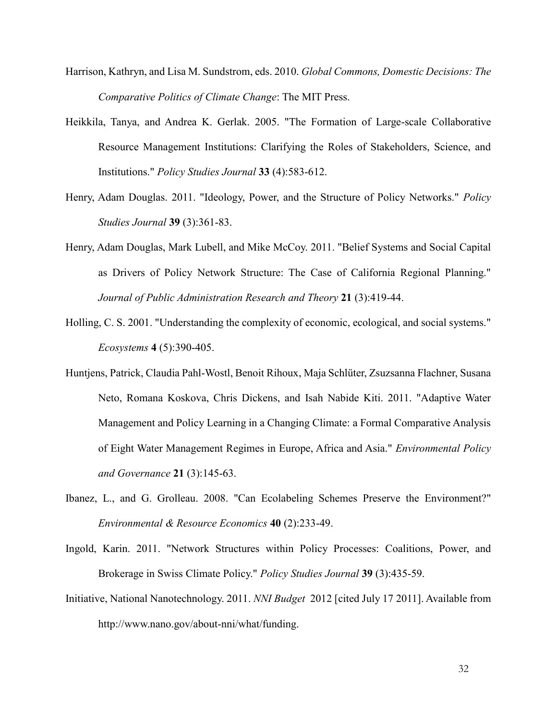- Harrison, Kathryn, and Lisa M. Sundstrom, eds. 2010. *Global Commons, Domestic Decisions: The Comparative Politics of Climate Change*: The MIT Press.
- Heikkila, Tanya, and Andrea K. Gerlak. 2005. "The Formation of Large-scale Collaborative Resource Management Institutions: Clarifying the Roles of Stakeholders, Science, and Institutions." *Policy Studies Journal* **33** (4):583-612.
- Henry, Adam Douglas. 2011. "Ideology, Power, and the Structure of Policy Networks." *Policy Studies Journal* **39** (3):361-83.
- Henry, Adam Douglas, Mark Lubell, and Mike McCoy. 2011. "Belief Systems and Social Capital as Drivers of Policy Network Structure: The Case of California Regional Planning." *Journal of Public Administration Research and Theory* **21** (3):419-44.
- Holling, C. S. 2001. "Understanding the complexity of economic, ecological, and social systems." *Ecosystems* **4** (5):390-405.
- Huntjens, Patrick, Claudia Pahl-Wostl, Benoit Rihoux, Maja Schlüter, Zsuzsanna Flachner, Susana Neto, Romana Koskova, Chris Dickens, and Isah Nabide Kiti. 2011. "Adaptive Water Management and Policy Learning in a Changing Climate: a Formal Comparative Analysis of Eight Water Management Regimes in Europe, Africa and Asia." *Environmental Policy and Governance* **21** (3):145-63.
- Ibanez, L., and G. Grolleau. 2008. "Can Ecolabeling Schemes Preserve the Environment?" *Environmental & Resource Economics* **40** (2):233-49.
- Ingold, Karin. 2011. "Network Structures within Policy Processes: Coalitions, Power, and Brokerage in Swiss Climate Policy." *Policy Studies Journal* **39** (3):435-59.
- Initiative, National Nanotechnology. 2011. *NNI Budget* 2012 [cited July 17 2011]. Available from http://www.nano.gov/about-nni/what/funding.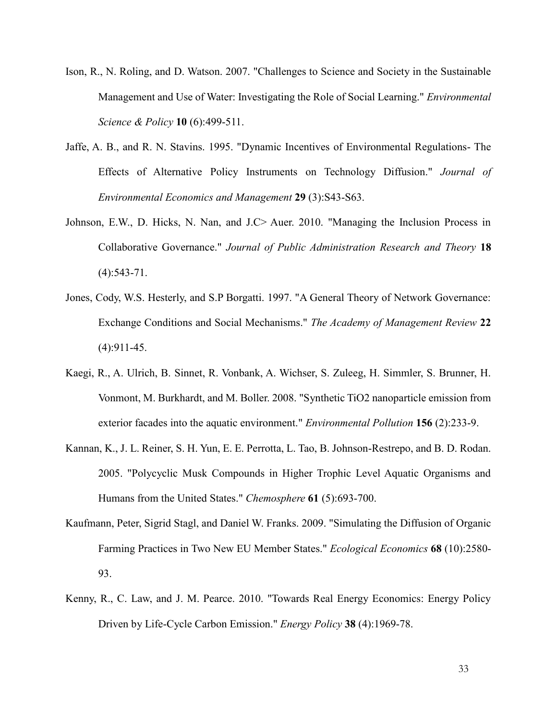- Ison, R., N. Roling, and D. Watson. 2007. "Challenges to Science and Society in the Sustainable Management and Use of Water: Investigating the Role of Social Learning." *Environmental Science & Policy* **10** (6):499-511.
- Jaffe, A. B., and R. N. Stavins. 1995. "Dynamic Incentives of Environmental Regulations- The Effects of Alternative Policy Instruments on Technology Diffusion." *Journal of Environmental Economics and Management* **29** (3):S43-S63.
- Johnson, E.W., D. Hicks, N. Nan, and J.C> Auer. 2010. "Managing the Inclusion Process in Collaborative Governance." *Journal of Public Administration Research and Theory* **18**  $(4):$ 543-71.
- Jones, Cody, W.S. Hesterly, and S.P Borgatti. 1997. "A General Theory of Network Governance: Exchange Conditions and Social Mechanisms." *The Academy of Management Review* **22** (4):911-45.
- Kaegi, R., A. Ulrich, B. Sinnet, R. Vonbank, A. Wichser, S. Zuleeg, H. Simmler, S. Brunner, H. Vonmont, M. Burkhardt, and M. Boller. 2008. "Synthetic TiO2 nanoparticle emission from exterior facades into the aquatic environment." *Environmental Pollution* **156** (2):233-9.
- Kannan, K., J. L. Reiner, S. H. Yun, E. E. Perrotta, L. Tao, B. Johnson-Restrepo, and B. D. Rodan. 2005. "Polycyclic Musk Compounds in Higher Trophic Level Aquatic Organisms and Humans from the United States." *Chemosphere* **61** (5):693-700.
- Kaufmann, Peter, Sigrid Stagl, and Daniel W. Franks. 2009. "Simulating the Diffusion of Organic Farming Practices in Two New EU Member States." *Ecological Economics* **68** (10):2580- 93.
- Kenny, R., C. Law, and J. M. Pearce. 2010. "Towards Real Energy Economics: Energy Policy Driven by Life-Cycle Carbon Emission." *Energy Policy* **38** (4):1969-78.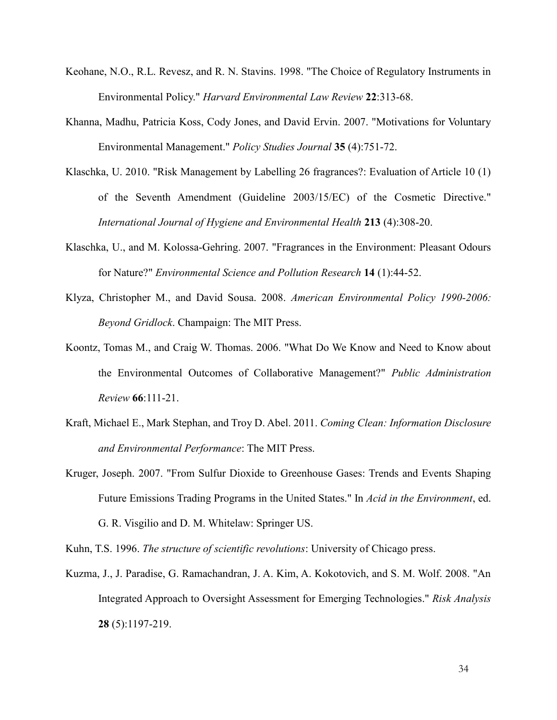- Keohane, N.O., R.L. Revesz, and R. N. Stavins. 1998. "The Choice of Regulatory Instruments in Environmental Policy." *Harvard Environmental Law Review* **22**:313-68.
- Khanna, Madhu, Patricia Koss, Cody Jones, and David Ervin. 2007. "Motivations for Voluntary Environmental Management." *Policy Studies Journal* **35** (4):751-72.
- Klaschka, U. 2010. "Risk Management by Labelling 26 fragrances?: Evaluation of Article 10 (1) of the Seventh Amendment (Guideline 2003/15/EC) of the Cosmetic Directive." *International Journal of Hygiene and Environmental Health* **213** (4):308-20.
- Klaschka, U., and M. Kolossa-Gehring. 2007. "Fragrances in the Environment: Pleasant Odours for Nature?" *Environmental Science and Pollution Research* **14** (1):44-52.
- Klyza, Christopher M., and David Sousa. 2008. *American Environmental Policy 1990-2006: Beyond Gridlock*. Champaign: The MIT Press.
- Koontz, Tomas M., and Craig W. Thomas. 2006. "What Do We Know and Need to Know about the Environmental Outcomes of Collaborative Management?" *Public Administration Review* **66**:111-21.
- Kraft, Michael E., Mark Stephan, and Troy D. Abel. 2011. *Coming Clean: Information Disclosure and Environmental Performance*: The MIT Press.
- Kruger, Joseph. 2007. "From Sulfur Dioxide to Greenhouse Gases: Trends and Events Shaping Future Emissions Trading Programs in the United States." In *Acid in the Environment*, ed. G. R. Visgilio and D. M. Whitelaw: Springer US.

Kuhn, T.S. 1996. *The structure of scientific revolutions*: University of Chicago press.

Kuzma, J., J. Paradise, G. Ramachandran, J. A. Kim, A. Kokotovich, and S. M. Wolf. 2008. "An Integrated Approach to Oversight Assessment for Emerging Technologies." *Risk Analysis* **28** (5):1197-219.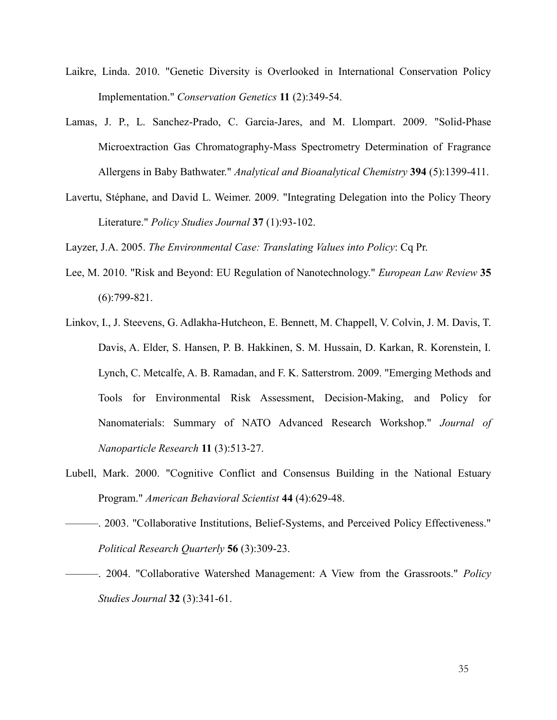- Laikre, Linda. 2010. "Genetic Diversity is Overlooked in International Conservation Policy Implementation." *Conservation Genetics* **11** (2):349-54.
- Lamas, J. P., L. Sanchez-Prado, C. Garcia-Jares, and M. Llompart. 2009. "Solid-Phase Microextraction Gas Chromatography-Mass Spectrometry Determination of Fragrance Allergens in Baby Bathwater." *Analytical and Bioanalytical Chemistry* **394** (5):1399-411.
- Lavertu, Stéphane, and David L. Weimer. 2009. "Integrating Delegation into the Policy Theory Literature." *Policy Studies Journal* **37** (1):93-102.

Layzer, J.A. 2005. *The Environmental Case: Translating Values into Policy*: Cq Pr.

- Lee, M. 2010. "Risk and Beyond: EU Regulation of Nanotechnology." *European Law Review* **35** (6):799-821.
- Linkov, I., J. Steevens, G. Adlakha-Hutcheon, E. Bennett, M. Chappell, V. Colvin, J. M. Davis, T. Davis, A. Elder, S. Hansen, P. B. Hakkinen, S. M. Hussain, D. Karkan, R. Korenstein, I. Lynch, C. Metcalfe, A. B. Ramadan, and F. K. Satterstrom. 2009. "Emerging Methods and Tools for Environmental Risk Assessment, Decision-Making, and Policy for Nanomaterials: Summary of NATO Advanced Research Workshop." *Journal of Nanoparticle Research* **11** (3):513-27.
- Lubell, Mark. 2000. "Cognitive Conflict and Consensus Building in the National Estuary Program." *American Behavioral Scientist* **44** (4):629-48.
- ———. 2003. "Collaborative Institutions, Belief-Systems, and Perceived Policy Effectiveness." *Political Research Quarterly* **56** (3):309-23.
- ———. 2004. "Collaborative Watershed Management: A View from the Grassroots." *Policy Studies Journal* **32** (3):341-61.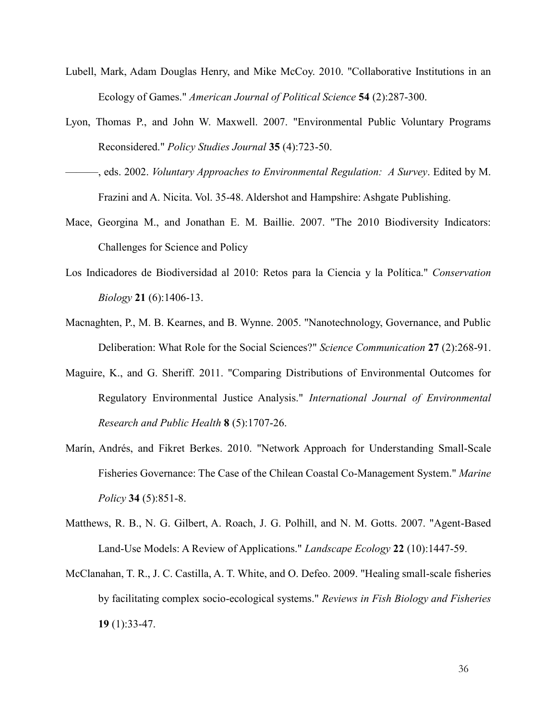- Lubell, Mark, Adam Douglas Henry, and Mike McCoy. 2010. "Collaborative Institutions in an Ecology of Games." *American Journal of Political Science* **54** (2):287-300.
- Lyon, Thomas P., and John W. Maxwell. 2007. "Environmental Public Voluntary Programs Reconsidered." *Policy Studies Journal* **35** (4):723-50.
- ———, eds. 2002. *Voluntary Approaches to Environmental Regulation: A Survey*. Edited by M. Frazini and A. Nicita. Vol. 35-48. Aldershot and Hampshire: Ashgate Publishing.
- Mace, Georgina M., and Jonathan E. M. Baillie. 2007. "The 2010 Biodiversity Indicators: Challenges for Science and Policy
- Los Indicadores de Biodiversidad al 2010: Retos para la Ciencia y la Política." *Conservation Biology* **21** (6):1406-13.
- Macnaghten, P., M. B. Kearnes, and B. Wynne. 2005. "Nanotechnology, Governance, and Public Deliberation: What Role for the Social Sciences?" *Science Communication* **27** (2):268-91.
- Maguire, K., and G. Sheriff. 2011. "Comparing Distributions of Environmental Outcomes for Regulatory Environmental Justice Analysis." *International Journal of Environmental Research and Public Health* **8** (5):1707-26.
- Marín, Andrés, and Fikret Berkes. 2010. "Network Approach for Understanding Small-Scale Fisheries Governance: The Case of the Chilean Coastal Co-Management System." *Marine Policy* **34** (5):851-8.
- Matthews, R. B., N. G. Gilbert, A. Roach, J. G. Polhill, and N. M. Gotts. 2007. "Agent-Based Land-Use Models: A Review of Applications." *Landscape Ecology* **22** (10):1447-59.
- McClanahan, T. R., J. C. Castilla, A. T. White, and O. Defeo. 2009. "Healing small-scale fisheries by facilitating complex socio-ecological systems." *Reviews in Fish Biology and Fisheries* **19** (1):33-47.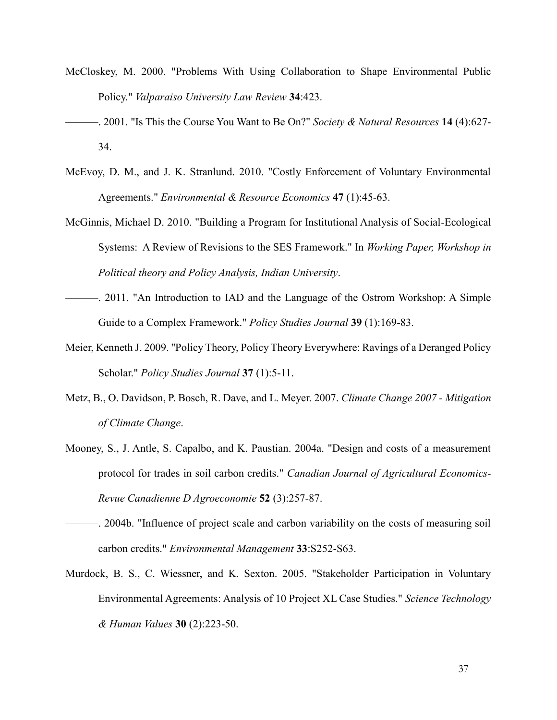- McCloskey, M. 2000. "Problems With Using Collaboration to Shape Environmental Public Policy." *Valparaiso University Law Review* **34**:423.
- ———. 2001. "Is This the Course You Want to Be On?" *Society & Natural Resources* **14** (4):627- 34.
- McEvoy, D. M., and J. K. Stranlund. 2010. "Costly Enforcement of Voluntary Environmental Agreements." *Environmental & Resource Economics* **47** (1):45-63.
- McGinnis, Michael D. 2010. "Building a Program for Institutional Analysis of Social-Ecological Systems: A Review of Revisions to the SES Framework." In *Working Paper, Workshop in Political theory and Policy Analysis, Indian University*.
- ———. 2011. "An Introduction to IAD and the Language of the Ostrom Workshop: A Simple Guide to a Complex Framework." *Policy Studies Journal* **39** (1):169-83.
- Meier, Kenneth J. 2009. "Policy Theory, Policy Theory Everywhere: Ravings of a Deranged Policy Scholar." *Policy Studies Journal* **37** (1):5-11.
- Metz, B., O. Davidson, P. Bosch, R. Dave, and L. Meyer. 2007. *Climate Change 2007 - Mitigation of Climate Change*.
- Mooney, S., J. Antle, S. Capalbo, and K. Paustian. 2004a. "Design and costs of a measurement protocol for trades in soil carbon credits." *Canadian Journal of Agricultural Economics-Revue Canadienne D Agroeconomie* **52** (3):257-87.
- ———. 2004b. "Influence of project scale and carbon variability on the costs of measuring soil carbon credits." *Environmental Management* **33**:S252-S63.
- Murdock, B. S., C. Wiessner, and K. Sexton. 2005. "Stakeholder Participation in Voluntary Environmental Agreements: Analysis of 10 Project XL Case Studies." *Science Technology & Human Values* **30** (2):223-50.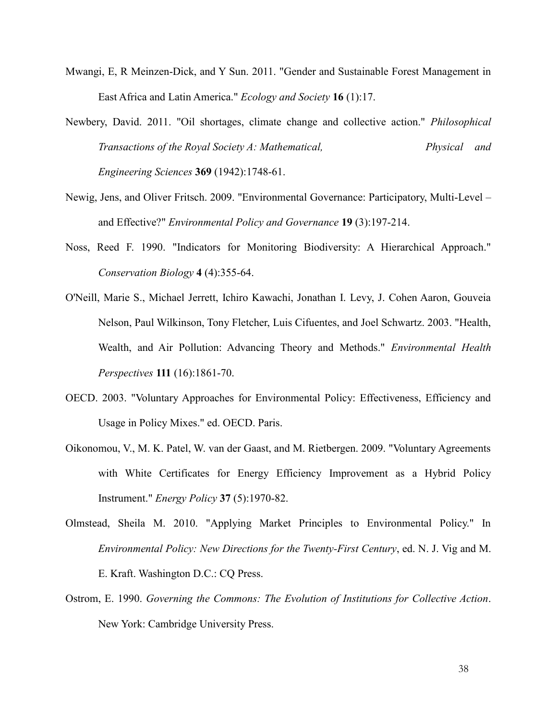- Mwangi, E, R Meinzen-Dick, and Y Sun. 2011. "Gender and Sustainable Forest Management in East Africa and Latin America." *Ecology and Society* **16** (1):17.
- Newbery, David. 2011. "Oil shortages, climate change and collective action." *Philosophical Transactions of the Royal Society A: Mathematical, Physical and Engineering Sciences* **369** (1942):1748-61.
- Newig, Jens, and Oliver Fritsch. 2009. "Environmental Governance: Participatory, Multi-Level and Effective?" *Environmental Policy and Governance* **19** (3):197-214.
- Noss, Reed F. 1990. "Indicators for Monitoring Biodiversity: A Hierarchical Approach." *Conservation Biology* **4** (4):355-64.
- O'Neill, Marie S., Michael Jerrett, Ichiro Kawachi, Jonathan I. Levy, J. Cohen Aaron, Gouveia Nelson, Paul Wilkinson, Tony Fletcher, Luis Cifuentes, and Joel Schwartz. 2003. "Health, Wealth, and Air Pollution: Advancing Theory and Methods." *Environmental Health Perspectives* **111** (16):1861-70.
- OECD. 2003. "Voluntary Approaches for Environmental Policy: Effectiveness, Efficiency and Usage in Policy Mixes." ed. OECD. Paris.
- Oikonomou, V., M. K. Patel, W. van der Gaast, and M. Rietbergen. 2009. "Voluntary Agreements with White Certificates for Energy Efficiency Improvement as a Hybrid Policy Instrument." *Energy Policy* **37** (5):1970-82.
- Olmstead, Sheila M. 2010. "Applying Market Principles to Environmental Policy." In *Environmental Policy: New Directions for the Twenty-First Century*, ed. N. J. Vig and M. E. Kraft. Washington D.C.: CQ Press.
- Ostrom, E. 1990. *Governing the Commons: The Evolution of Institutions for Collective Action*. New York: Cambridge University Press.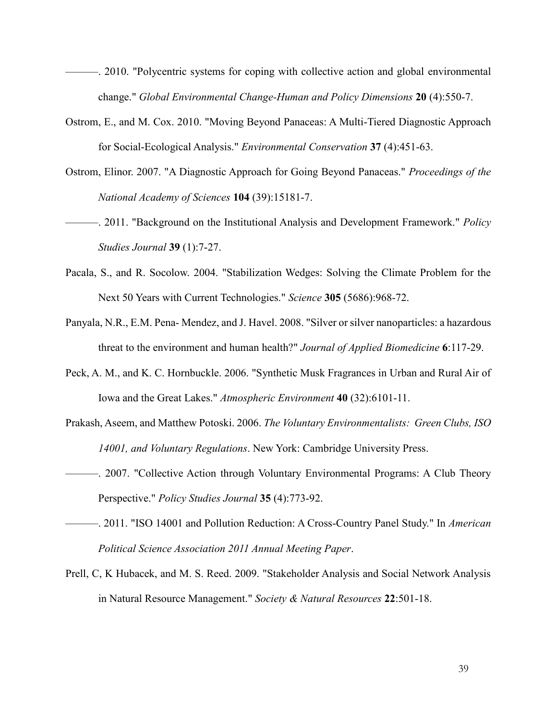- ———. 2010. "Polycentric systems for coping with collective action and global environmental change." *Global Environmental Change-Human and Policy Dimensions* **20** (4):550-7.
- Ostrom, E., and M. Cox. 2010. "Moving Beyond Panaceas: A Multi-Tiered Diagnostic Approach for Social-Ecological Analysis." *Environmental Conservation* **37** (4):451-63.
- Ostrom, Elinor. 2007. "A Diagnostic Approach for Going Beyond Panaceas." *Proceedings of the National Academy of Sciences* **104** (39):15181-7.
- ———. 2011. "Background on the Institutional Analysis and Development Framework." *Policy Studies Journal* **39** (1):7-27.
- Pacala, S., and R. Socolow. 2004. "Stabilization Wedges: Solving the Climate Problem for the Next 50 Years with Current Technologies." *Science* **305** (5686):968-72.
- Panyala, N.R., E.M. Pena- Mendez, and J. Havel. 2008. "Silver or silver nanoparticles: a hazardous threat to the environment and human health?" *Journal of Applied Biomedicine* **6**:117-29.
- Peck, A. M., and K. C. Hornbuckle. 2006. "Synthetic Musk Fragrances in Urban and Rural Air of Iowa and the Great Lakes." *Atmospheric Environment* **40** (32):6101-11.
- Prakash, Aseem, and Matthew Potoski. 2006. *The Voluntary Environmentalists: Green Clubs, ISO 14001, and Voluntary Regulations*. New York: Cambridge University Press.
- ———. 2007. "Collective Action through Voluntary Environmental Programs: A Club Theory Perspective." *Policy Studies Journal* **35** (4):773-92.
- ———. 2011. "ISO 14001 and Pollution Reduction: A Cross-Country Panel Study." In *American Political Science Association 2011 Annual Meeting Paper*.
- Prell, C, K Hubacek, and M. S. Reed. 2009. "Stakeholder Analysis and Social Network Analysis in Natural Resource Management." *Society & Natural Resources* **22**:501-18.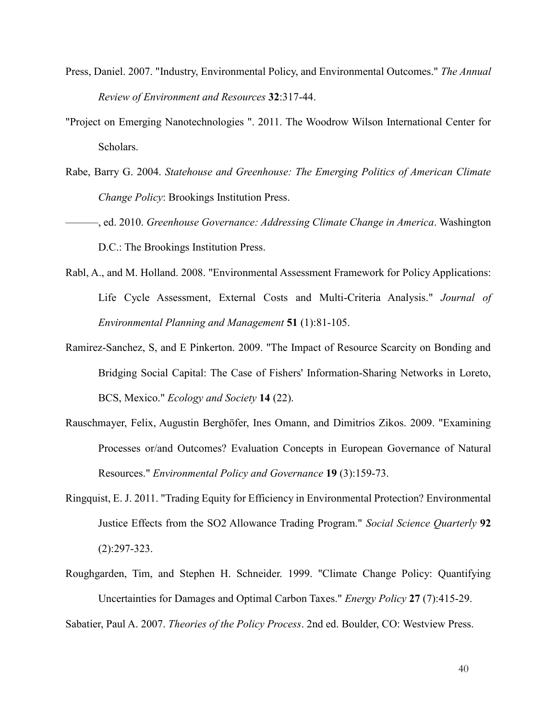- Press, Daniel. 2007. "Industry, Environmental Policy, and Environmental Outcomes." *The Annual Review of Environment and Resources* **32**:317-44.
- "Project on Emerging Nanotechnologies ". 2011. The Woodrow Wilson International Center for Scholars.
- Rabe, Barry G. 2004. *Statehouse and Greenhouse: The Emerging Politics of American Climate Change Policy*: Brookings Institution Press.
- ———, ed. 2010. *Greenhouse Governance: Addressing Climate Change in America*. Washington D.C.: The Brookings Institution Press.
- Rabl, A., and M. Holland. 2008. "Environmental Assessment Framework for Policy Applications: Life Cycle Assessment, External Costs and Multi-Criteria Analysis." *Journal of Environmental Planning and Management* **51** (1):81-105.
- Ramirez-Sanchez, S, and E Pinkerton. 2009. "The Impact of Resource Scarcity on Bonding and Bridging Social Capital: The Case of Fishers' Information-Sharing Networks in Loreto, BCS, Mexico." *Ecology and Society* **14** (22).
- Rauschmayer, Felix, Augustin Berghöfer, Ines Omann, and Dimitrios Zikos. 2009. "Examining Processes or/and Outcomes? Evaluation Concepts in European Governance of Natural Resources." *Environmental Policy and Governance* **19** (3):159-73.
- Ringquist, E. J. 2011. "Trading Equity for Efficiency in Environmental Protection? Environmental Justice Effects from the SO2 Allowance Trading Program." *Social Science Quarterly* **92** (2):297-323.
- Roughgarden, Tim, and Stephen H. Schneider. 1999. "Climate Change Policy: Quantifying Uncertainties for Damages and Optimal Carbon Taxes." *Energy Policy* **27** (7):415-29.

Sabatier, Paul A. 2007. *Theories of the Policy Process*. 2nd ed. Boulder, CO: Westview Press.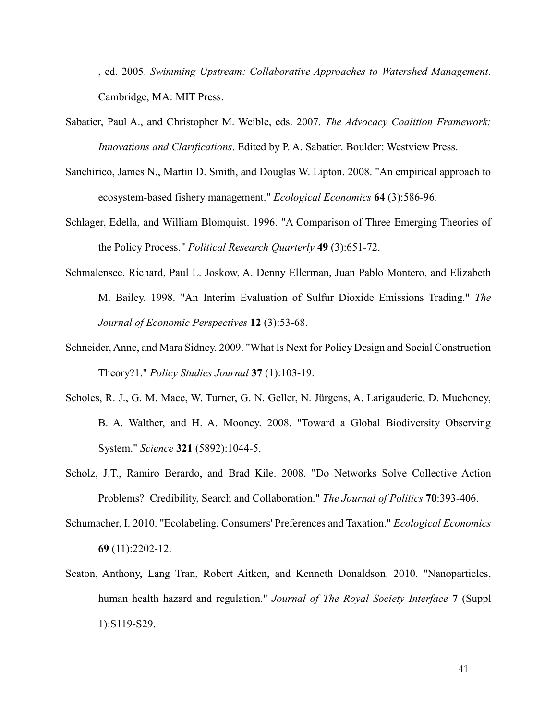- ———, ed. 2005. *Swimming Upstream: Collaborative Approaches to Watershed Management*. Cambridge, MA: MIT Press.
- Sabatier, Paul A., and Christopher M. Weible, eds. 2007. *The Advocacy Coalition Framework: Innovations and Clarifications*. Edited by P. A. Sabatier. Boulder: Westview Press.
- Sanchirico, James N., Martin D. Smith, and Douglas W. Lipton. 2008. "An empirical approach to ecosystem-based fishery management." *Ecological Economics* **64** (3):586-96.
- Schlager, Edella, and William Blomquist. 1996. "A Comparison of Three Emerging Theories of the Policy Process." *Political Research Quarterly* **49** (3):651-72.
- Schmalensee, Richard, Paul L. Joskow, A. Denny Ellerman, Juan Pablo Montero, and Elizabeth M. Bailey. 1998. "An Interim Evaluation of Sulfur Dioxide Emissions Trading." *The Journal of Economic Perspectives* **12** (3):53-68.
- Schneider, Anne, and Mara Sidney. 2009. "What Is Next for Policy Design and Social Construction Theory?1." *Policy Studies Journal* **37** (1):103-19.
- Scholes, R. J., G. M. Mace, W. Turner, G. N. Geller, N. Jürgens, A. Larigauderie, D. Muchoney, B. A. Walther, and H. A. Mooney. 2008. "Toward a Global Biodiversity Observing System." *Science* **321** (5892):1044-5.
- Scholz, J.T., Ramiro Berardo, and Brad Kile. 2008. "Do Networks Solve Collective Action Problems? Credibility, Search and Collaboration." *The Journal of Politics* **70**:393-406.
- Schumacher, I. 2010. "Ecolabeling, Consumers' Preferences and Taxation." *Ecological Economics* **69** (11):2202-12.
- Seaton, Anthony, Lang Tran, Robert Aitken, and Kenneth Donaldson. 2010. "Nanoparticles, human health hazard and regulation." *Journal of The Royal Society Interface* **7** (Suppl 1):S119-S29.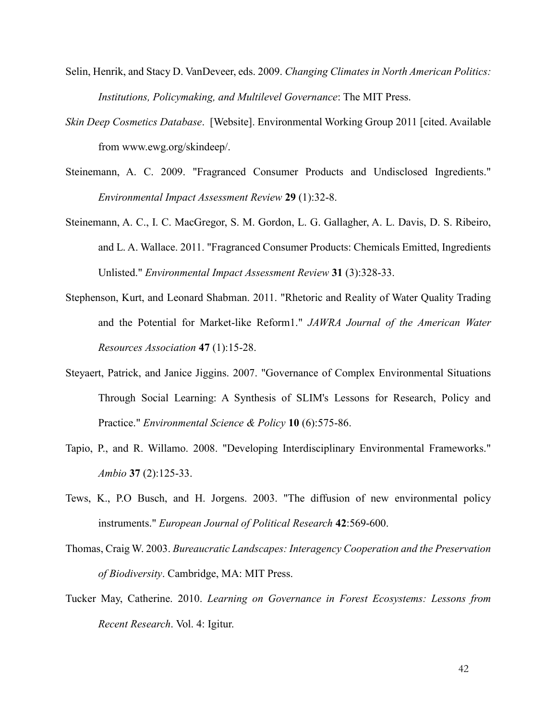- Selin, Henrik, and Stacy D. VanDeveer, eds. 2009. *Changing Climates in North American Politics: Institutions, Policymaking, and Multilevel Governance*: The MIT Press.
- *Skin Deep Cosmetics Database*. [Website]. Environmental Working Group 2011 [cited. Available from www.ewg.org/skindeep/.
- Steinemann, A. C. 2009. "Fragranced Consumer Products and Undisclosed Ingredients." *Environmental Impact Assessment Review* **29** (1):32-8.
- Steinemann, A. C., I. C. MacGregor, S. M. Gordon, L. G. Gallagher, A. L. Davis, D. S. Ribeiro, and L. A. Wallace. 2011. "Fragranced Consumer Products: Chemicals Emitted, Ingredients Unlisted." *Environmental Impact Assessment Review* **31** (3):328-33.
- Stephenson, Kurt, and Leonard Shabman. 2011. "Rhetoric and Reality of Water Quality Trading and the Potential for Market-like Reform1." *JAWRA Journal of the American Water Resources Association* **47** (1):15-28.
- Steyaert, Patrick, and Janice Jiggins. 2007. "Governance of Complex Environmental Situations Through Social Learning: A Synthesis of SLIM's Lessons for Research, Policy and Practice." *Environmental Science & Policy* **10** (6):575-86.
- Tapio, P., and R. Willamo. 2008. "Developing Interdisciplinary Environmental Frameworks." *Ambio* **37** (2):125-33.
- Tews, K., P.O Busch, and H. Jorgens. 2003. "The diffusion of new environmental policy instruments." *European Journal of Political Research* **42**:569-600.
- Thomas, Craig W. 2003. *Bureaucratic Landscapes: Interagency Cooperation and the Preservation of Biodiversity*. Cambridge, MA: MIT Press.
- Tucker May, Catherine. 2010. *Learning on Governance in Forest Ecosystems: Lessons from Recent Research*. Vol. 4: Igitur.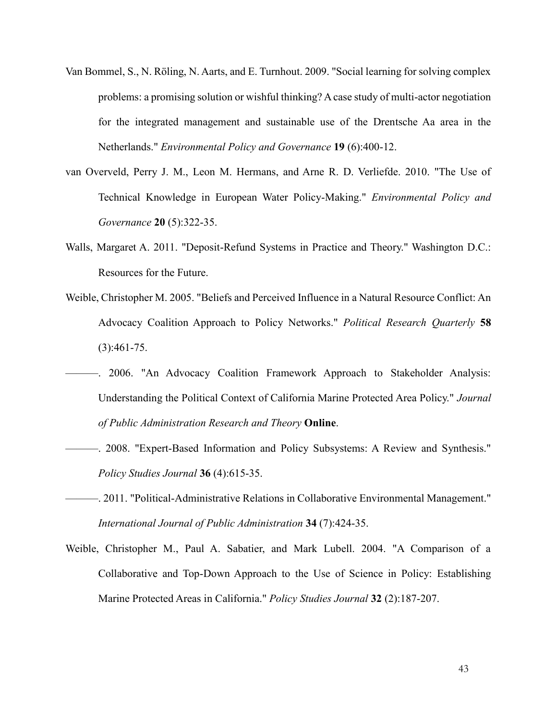- Van Bommel, S., N. Röling, N. Aarts, and E. Turnhout. 2009. "Social learning for solving complex problems: a promising solution or wishful thinking? A case study of multi-actor negotiation for the integrated management and sustainable use of the Drentsche Aa area in the Netherlands." *Environmental Policy and Governance* **19** (6):400-12.
- van Overveld, Perry J. M., Leon M. Hermans, and Arne R. D. Verliefde. 2010. "The Use of Technical Knowledge in European Water Policy-Making." *Environmental Policy and Governance* **20** (5):322-35.
- Walls, Margaret A. 2011. "Deposit-Refund Systems in Practice and Theory." Washington D.C.: Resources for the Future.
- Weible, Christopher M. 2005. "Beliefs and Perceived Influence in a Natural Resource Conflict: An Advocacy Coalition Approach to Policy Networks." *Political Research Quarterly* **58** (3):461-75.
- ———. 2006. "An Advocacy Coalition Framework Approach to Stakeholder Analysis: Understanding the Political Context of California Marine Protected Area Policy." *Journal of Public Administration Research and Theory* **Online**.
- ———. 2008. "Expert-Based Information and Policy Subsystems: A Review and Synthesis." *Policy Studies Journal* **36** (4):615-35.
- ———. 2011. "Political-Administrative Relations in Collaborative Environmental Management." *International Journal of Public Administration* **34** (7):424-35.
- Weible, Christopher M., Paul A. Sabatier, and Mark Lubell. 2004. "A Comparison of a Collaborative and Top-Down Approach to the Use of Science in Policy: Establishing Marine Protected Areas in California." *Policy Studies Journal* **32** (2):187-207.